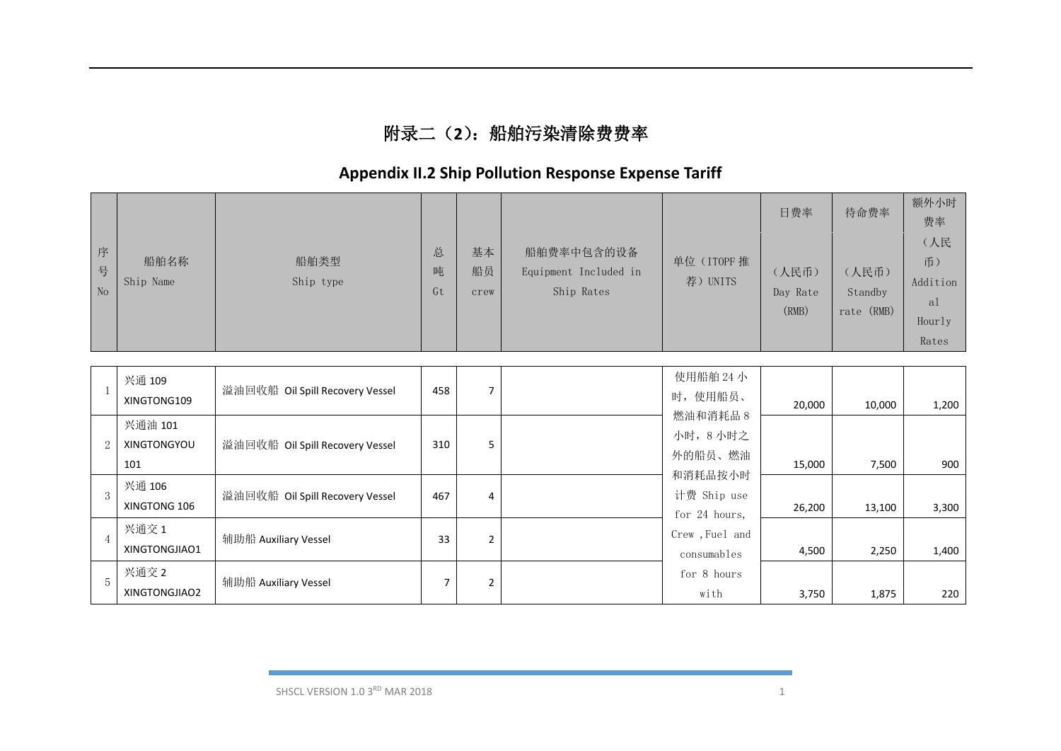## 附录二(**2**):船舶污染清除费费率

# **Appendix II.2 Ship Pollution Response Expense Tariff**

|                |                                      |                                 |                |                  |                                                   |                                         | 日费率                        | 待命费率                           | 额外小时<br>费率<br>(人民                       |
|----------------|--------------------------------------|---------------------------------|----------------|------------------|---------------------------------------------------|-----------------------------------------|----------------------------|--------------------------------|-----------------------------------------|
| 序<br>号<br>No   | 船舶名称<br>Ship Name                    | 船舶类型<br>Ship type               | 总<br>吨<br>Gt   | 基本<br>船员<br>crew | 船舶费率中包含的设备<br>Equipment Included in<br>Ship Rates | 单位 (ITOPF 推<br>荐) UNITS                 | (人民币)<br>Day Rate<br>(RMB) | (人民币)<br>Standby<br>rate (RMB) | 币)<br>Addition<br>al<br>Hourly<br>Rates |
|                | 兴通 109<br>XINGTONG109                | 溢油回收船 Oil Spill Recovery Vessel | 458            | $\overline{7}$   |                                                   | 使用船舶 24 小<br>时, 使用船员、                   |                            |                                |                                         |
| 2              | 兴通油 101<br><b>XINGTONGYOU</b><br>101 | 溢油回收船 Oil Spill Recovery Vessel | 310            | 5                |                                                   | 燃油和消耗品 8<br>小时, 8小时之<br>外的船员、燃油         | 20,000<br>15,000           | 10,000<br>7,500                | 1,200<br>900                            |
| $\mathcal{S}$  | 兴通 106<br>XINGTONG 106               | 溢油回收船 Oil Spill Recovery Vessel | 467            | 4                |                                                   | 和消耗品按小时<br>计费 Ship use<br>for 24 hours, | 26,200                     | 13,100                         | 3,300                                   |
| $\overline{4}$ | 兴通交 1<br>XINGTONGJIAO1               | 辅助船 Auxiliary Vessel            | 33             | $\overline{2}$   |                                                   | Crew , Fuel and<br>consumables          | 4,500                      | 2,250                          | 1,400                                   |
| $\overline{5}$ | 兴通交 2<br>XINGTONGJIAO2               | 辅助船 Auxiliary Vessel            | $\overline{7}$ | $\overline{2}$   |                                                   | for 8 hours<br>with                     | 3,750                      | 1,875                          | 220                                     |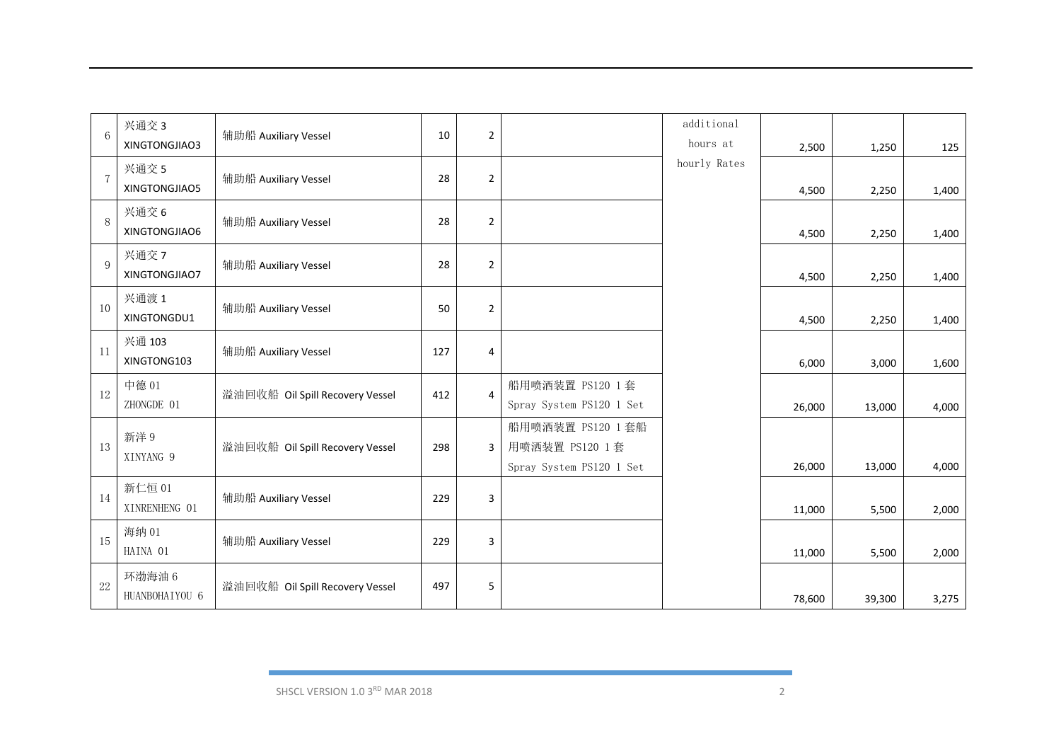| hourly Rates<br>兴通交 5<br>$\overline{7}$<br>辅助船 Auxiliary Vessel<br>28<br>$\overline{2}$<br>XINGTONGJIAO5<br>4,500<br>2,250<br>兴通交 6<br>8<br>辅助船 Auxiliary Vessel<br>28<br>$\overline{2}$<br>XINGTONGJIAO6<br>4,500<br>2,250<br>兴通交 7<br>9<br>辅助船 Auxiliary Vessel<br>28<br>$\overline{2}$<br>XINGTONGJIAO7<br>4,500<br>2,250<br>兴通渡1<br>10<br>辅助船 Auxiliary Vessel<br>50<br>$\overline{2}$<br>XINGTONGDU1<br>4,500<br>2,250<br>兴通 103<br>11<br>辅助船 Auxiliary Vessel<br>127<br>4<br>XINGTONG103<br>6,000<br>3,000<br>中德 01<br>船用喷洒装置 PS120 1 套<br>12<br>溢油回收船 Oil Spill Recovery Vessel<br>$\overline{4}$<br>412<br>ZHONGDE 01<br>Spray System PS120 1 Set<br>26,000<br>13,000<br>4,000<br>船用喷洒装置 PS120 1 套船<br>新洋 9<br>13<br>用喷洒装置 PS120 1 套<br>溢油回收船 Oil Spill Recovery Vessel<br>298<br>3<br>XINYANG 9<br>Spray System PS120 1 Set<br>4,000<br>26,000<br>13,000<br>新仁恒 01<br>14<br>辅助船 Auxiliary Vessel<br>3<br>229 | $6\phantom{1}6$ | 兴通交 3         | 辅助船 Auxiliary Vessel | 10 | $\overline{2}$ | additional |        |       |       |
|-----------------------------------------------------------------------------------------------------------------------------------------------------------------------------------------------------------------------------------------------------------------------------------------------------------------------------------------------------------------------------------------------------------------------------------------------------------------------------------------------------------------------------------------------------------------------------------------------------------------------------------------------------------------------------------------------------------------------------------------------------------------------------------------------------------------------------------------------------------------------------------------------------------------------|-----------------|---------------|----------------------|----|----------------|------------|--------|-------|-------|
|                                                                                                                                                                                                                                                                                                                                                                                                                                                                                                                                                                                                                                                                                                                                                                                                                                                                                                                       |                 | XINGTONGJIAO3 |                      |    |                | hours at   | 2,500  | 1,250 | 125   |
|                                                                                                                                                                                                                                                                                                                                                                                                                                                                                                                                                                                                                                                                                                                                                                                                                                                                                                                       |                 |               |                      |    |                |            |        |       |       |
|                                                                                                                                                                                                                                                                                                                                                                                                                                                                                                                                                                                                                                                                                                                                                                                                                                                                                                                       |                 |               |                      |    |                |            |        |       | 1,400 |
|                                                                                                                                                                                                                                                                                                                                                                                                                                                                                                                                                                                                                                                                                                                                                                                                                                                                                                                       |                 |               |                      |    |                |            |        |       |       |
|                                                                                                                                                                                                                                                                                                                                                                                                                                                                                                                                                                                                                                                                                                                                                                                                                                                                                                                       |                 |               |                      |    |                |            |        |       | 1,400 |
|                                                                                                                                                                                                                                                                                                                                                                                                                                                                                                                                                                                                                                                                                                                                                                                                                                                                                                                       |                 |               |                      |    |                |            |        |       |       |
|                                                                                                                                                                                                                                                                                                                                                                                                                                                                                                                                                                                                                                                                                                                                                                                                                                                                                                                       |                 |               |                      |    |                |            |        |       | 1,400 |
|                                                                                                                                                                                                                                                                                                                                                                                                                                                                                                                                                                                                                                                                                                                                                                                                                                                                                                                       |                 |               |                      |    |                |            |        |       |       |
|                                                                                                                                                                                                                                                                                                                                                                                                                                                                                                                                                                                                                                                                                                                                                                                                                                                                                                                       |                 |               |                      |    |                |            |        |       | 1,400 |
|                                                                                                                                                                                                                                                                                                                                                                                                                                                                                                                                                                                                                                                                                                                                                                                                                                                                                                                       |                 |               |                      |    |                |            |        |       |       |
|                                                                                                                                                                                                                                                                                                                                                                                                                                                                                                                                                                                                                                                                                                                                                                                                                                                                                                                       |                 |               |                      |    |                |            |        |       | 1,600 |
|                                                                                                                                                                                                                                                                                                                                                                                                                                                                                                                                                                                                                                                                                                                                                                                                                                                                                                                       |                 |               |                      |    |                |            |        |       |       |
|                                                                                                                                                                                                                                                                                                                                                                                                                                                                                                                                                                                                                                                                                                                                                                                                                                                                                                                       |                 |               |                      |    |                |            |        |       |       |
|                                                                                                                                                                                                                                                                                                                                                                                                                                                                                                                                                                                                                                                                                                                                                                                                                                                                                                                       |                 |               |                      |    |                |            |        |       |       |
|                                                                                                                                                                                                                                                                                                                                                                                                                                                                                                                                                                                                                                                                                                                                                                                                                                                                                                                       |                 |               |                      |    |                |            |        |       |       |
|                                                                                                                                                                                                                                                                                                                                                                                                                                                                                                                                                                                                                                                                                                                                                                                                                                                                                                                       |                 |               |                      |    |                |            |        |       |       |
|                                                                                                                                                                                                                                                                                                                                                                                                                                                                                                                                                                                                                                                                                                                                                                                                                                                                                                                       |                 |               |                      |    |                |            |        |       |       |
|                                                                                                                                                                                                                                                                                                                                                                                                                                                                                                                                                                                                                                                                                                                                                                                                                                                                                                                       |                 |               |                      |    |                |            |        |       |       |
|                                                                                                                                                                                                                                                                                                                                                                                                                                                                                                                                                                                                                                                                                                                                                                                                                                                                                                                       |                 | XINRENHENG 01 |                      |    |                |            | 11,000 | 5,500 | 2,000 |
| 海纳 01<br>15<br>辅助船 Auxiliary Vessel<br>229<br>3                                                                                                                                                                                                                                                                                                                                                                                                                                                                                                                                                                                                                                                                                                                                                                                                                                                                       |                 |               |                      |    |                |            |        |       |       |
| HAINA 01<br>11,000<br>5,500                                                                                                                                                                                                                                                                                                                                                                                                                                                                                                                                                                                                                                                                                                                                                                                                                                                                                           |                 |               |                      |    |                |            |        |       | 2,000 |
| 环渤海油 6                                                                                                                                                                                                                                                                                                                                                                                                                                                                                                                                                                                                                                                                                                                                                                                                                                                                                                                |                 |               |                      |    |                |            |        |       |       |
| 22<br>溢油回收船 Oil Spill Recovery Vessel<br>497<br>5<br>HUANBOHAIYOU 6<br>78,600<br>39,300                                                                                                                                                                                                                                                                                                                                                                                                                                                                                                                                                                                                                                                                                                                                                                                                                               |                 |               |                      |    |                |            |        |       | 3,275 |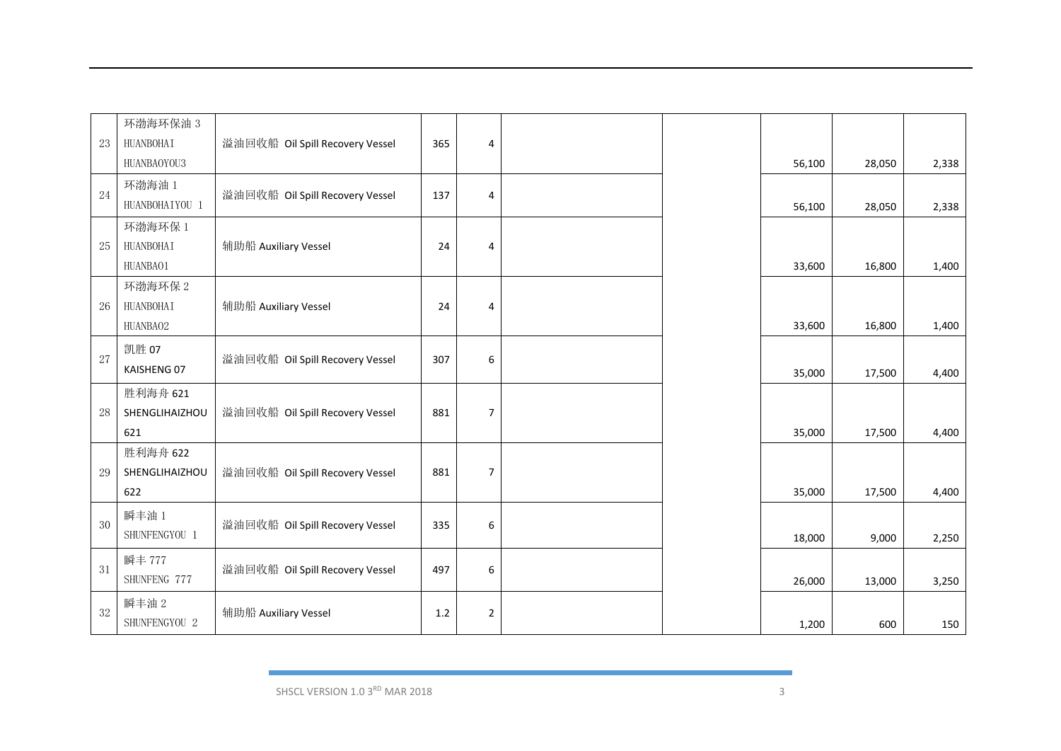|        | 环渤海环保油 3       |                                 |         |                  |  |        |        |       |
|--------|----------------|---------------------------------|---------|------------------|--|--------|--------|-------|
| 23     | HUANBOHAI      | 溢油回收船 Oil Spill Recovery Vessel | 365     | 4                |  |        |        |       |
|        | HUANBAOYOU3    |                                 |         |                  |  | 56,100 | 28,050 | 2,338 |
| 24     | 环渤海油 1         | 溢油回收船 Oil Spill Recovery Vessel | 137     |                  |  |        |        |       |
|        | HUANBOHAIYOU 1 |                                 |         | 4                |  | 56,100 | 28,050 | 2,338 |
|        | 环渤海环保1         |                                 |         |                  |  |        |        |       |
| 25     | HUANBOHAI      | 辅助船 Auxiliary Vessel            | 24      | 4                |  |        |        |       |
|        | HUANBA01       |                                 |         |                  |  | 33,600 | 16,800 | 1,400 |
|        | 环渤海环保 2        |                                 |         |                  |  |        |        |       |
| $26\,$ | HUANBOHAI      | 辅助船 Auxiliary Vessel            | 24      | 4                |  |        |        |       |
|        | HUANBA02       |                                 |         |                  |  | 33,600 | 16,800 | 1,400 |
| $27\,$ | 凯胜 07          | 溢油回收船 Oil Spill Recovery Vessel | 307     | 6                |  |        |        |       |
|        | KAISHENG 07    |                                 |         |                  |  | 35,000 | 17,500 | 4,400 |
|        | 胜利海舟 621       |                                 |         |                  |  |        |        |       |
| 28     | SHENGLIHAIZHOU | 溢油回收船 Oil Spill Recovery Vessel | 881     | $\overline{7}$   |  |        |        |       |
|        | 621            |                                 |         |                  |  | 35,000 | 17,500 | 4,400 |
|        | 胜利海舟 622       |                                 |         |                  |  |        |        |       |
| 29     | SHENGLIHAIZHOU | 溢油回收船 Oil Spill Recovery Vessel | 881     | $\overline{7}$   |  |        |        |       |
|        | 622            |                                 |         |                  |  | 35,000 | 17,500 | 4,400 |
| 30     | 瞬丰油 1          | 溢油回收船 Oil Spill Recovery Vessel | 335     | 6                |  |        |        |       |
|        | SHUNFENGYOU 1  |                                 |         |                  |  | 18,000 | 9,000  | 2,250 |
|        | 瞬丰 777         |                                 |         |                  |  |        |        |       |
| 31     | SHUNFENG 777   | 溢油回收船 Oil Spill Recovery Vessel | 497     | $\boldsymbol{6}$ |  | 26,000 | 13,000 | 3,250 |
|        | 瞬丰油 2          |                                 |         |                  |  |        |        |       |
| 32     | SHUNFENGYOU 2  | 辅助船 Auxiliary Vessel            | $1.2\,$ | $\overline{2}$   |  | 1,200  | 600    | 150   |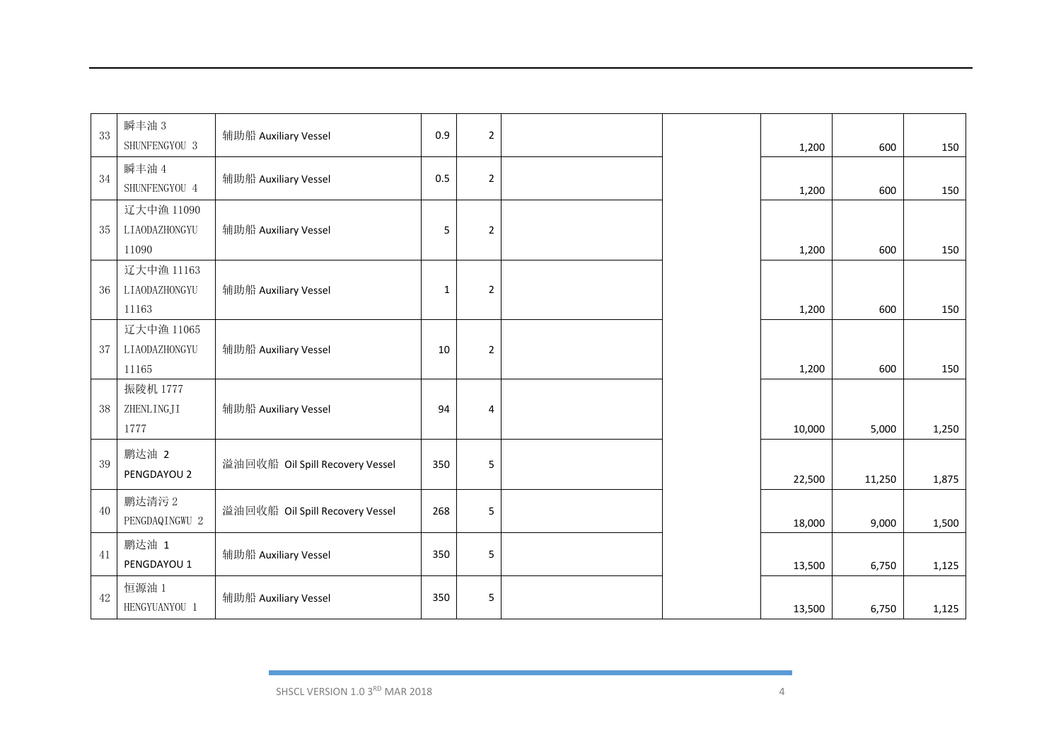| 33 | 瞬丰油 3<br>SHUNFENGYOU 3 | 辅助船 Auxiliary Vessel            | 0.9         | $\overline{2}$ |  | 1,200  | 600    | 150   |
|----|------------------------|---------------------------------|-------------|----------------|--|--------|--------|-------|
|    |                        |                                 |             |                |  |        |        |       |
| 34 | 瞬丰油 4<br>SHUNFENGYOU 4 | 辅助船 Auxiliary Vessel            | 0.5         | $\overline{2}$ |  |        |        |       |
|    |                        |                                 |             |                |  | 1,200  | 600    | 150   |
|    | 辽大中渔 11090             |                                 |             |                |  |        |        |       |
| 35 | LIAODAZHONGYU          | 辅助船 Auxiliary Vessel            | 5           | $\overline{2}$ |  |        |        |       |
|    | 11090                  |                                 |             |                |  | 1,200  | 600    | 150   |
|    | 辽大中渔 11163             |                                 |             |                |  |        |        |       |
| 36 | LIAODAZHONGYU          | 辅助船 Auxiliary Vessel            | $\mathbf 1$ | $\overline{2}$ |  |        |        |       |
|    | 11163                  |                                 |             |                |  | 1,200  | 600    | 150   |
|    | 辽大中渔 11065             |                                 |             |                |  |        |        |       |
| 37 | LIAODAZHONGYU          | 辅助船 Auxiliary Vessel            | 10          | $\overline{2}$ |  |        |        |       |
|    | 11165                  |                                 |             |                |  | 1,200  | 600    | 150   |
|    | 振陵机 1777               |                                 |             |                |  |        |        |       |
| 38 | ZHENLINGJI             | 辅助船 Auxiliary Vessel            | 94          | $\overline{4}$ |  |        |        |       |
|    | 1777                   |                                 |             |                |  | 10,000 | 5,000  | 1,250 |
|    | 鹏达油 2                  |                                 |             |                |  |        |        |       |
| 39 | PENGDAYOU 2            | 溢油回收船 Oil Spill Recovery Vessel | 350         | 5              |  |        |        |       |
|    |                        |                                 |             |                |  | 22,500 | 11,250 | 1,875 |
| 40 | 鹏达清污 2                 | 溢油回收船 Oil Spill Recovery Vessel | 268         | 5              |  |        |        |       |
|    | PENGDAQINGWU 2         |                                 |             |                |  | 18,000 | 9,000  | 1,500 |
|    | 鹏达油 1                  |                                 |             |                |  |        |        |       |
| 41 | PENGDAYOU 1            | 辅助船 Auxiliary Vessel            | 350         | 5              |  | 13,500 | 6,750  | 1,125 |
|    | 恒源油 1                  |                                 |             |                |  |        |        |       |
| 42 | HENGYUANYOU 1          | 辅助船 Auxiliary Vessel            | 350         | 5              |  |        |        |       |
|    |                        |                                 |             |                |  | 13,500 | 6,750  | 1,125 |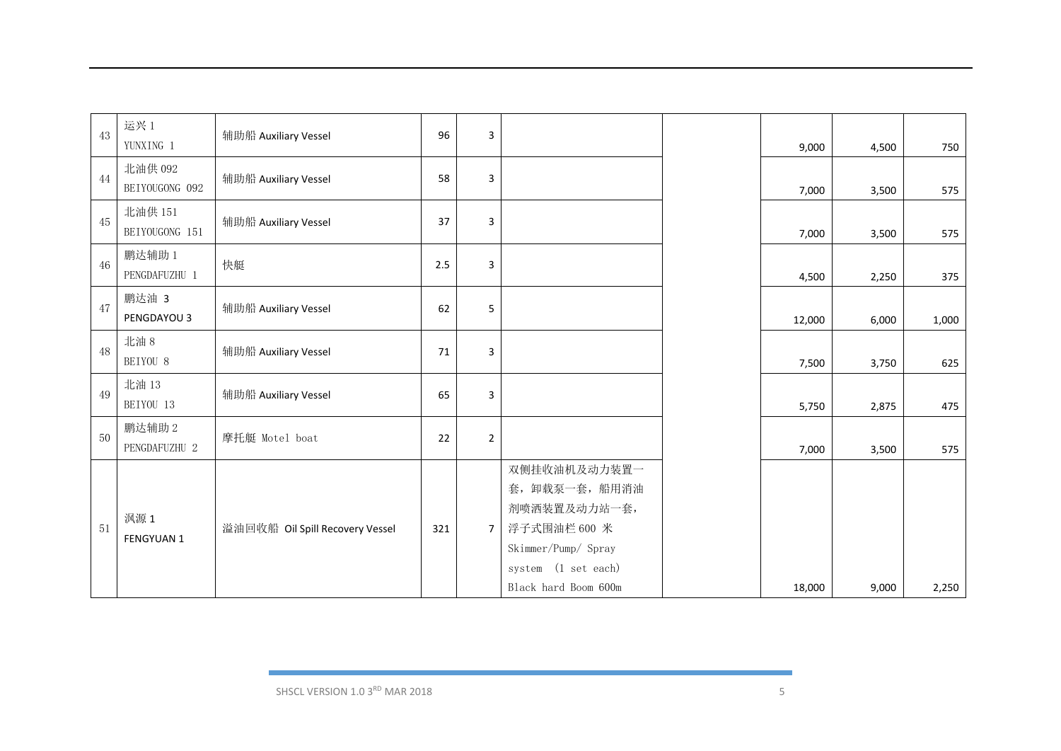| 43 | 运兴1<br>YUNXING 1          | 辅助船 Auxiliary Vessel            | 96  | 3              |                                                                                                                                      | 9,000  | 4,500 | 750   |
|----|---------------------------|---------------------------------|-----|----------------|--------------------------------------------------------------------------------------------------------------------------------------|--------|-------|-------|
| 44 | 北油供 092<br>BEIYOUGONG 092 | 辅助船 Auxiliary Vessel            | 58  | 3              |                                                                                                                                      | 7,000  | 3,500 | 575   |
| 45 | 北油供 151<br>BEIYOUGONG 151 | 辅助船 Auxiliary Vessel            | 37  | 3              |                                                                                                                                      | 7,000  | 3,500 | 575   |
| 46 | 鹏达辅助 1<br>PENGDAFUZHU 1   | 快艇                              | 2.5 | 3              |                                                                                                                                      | 4,500  | 2,250 | 375   |
| 47 | 鹏达油 3<br>PENGDAYOU 3      | 辅助船 Auxiliary Vessel            | 62  | 5              |                                                                                                                                      | 12,000 | 6,000 | 1,000 |
| 48 | 北油 8<br>BEIYOU 8          | 辅助船 Auxiliary Vessel            | 71  | 3              |                                                                                                                                      | 7,500  | 3,750 | 625   |
| 49 | 北油 13<br>BEIYOU 13        | 辅助船 Auxiliary Vessel            | 65  | 3              |                                                                                                                                      | 5,750  | 2,875 | 475   |
| 50 | 鹏达辅助 2<br>PENGDAFUZHU 2   | 摩托艇 Motel boat                  | 22  | $\overline{2}$ |                                                                                                                                      | 7,000  | 3,500 | 575   |
| 51 | 沨源 1<br><b>FENGYUAN 1</b> | 溢油回收船 Oil Spill Recovery Vessel | 321 | $\overline{7}$ | 双侧挂收油机及动力装置一<br>套, 卸载泵一套, 船用消油<br>剂喷洒装置及动力站一套,<br>浮子式围油栏 600 米<br>Skimmer/Pump/ Spray<br>system (1 set each)<br>Black hard Boom 600m | 18,000 | 9,000 | 2,250 |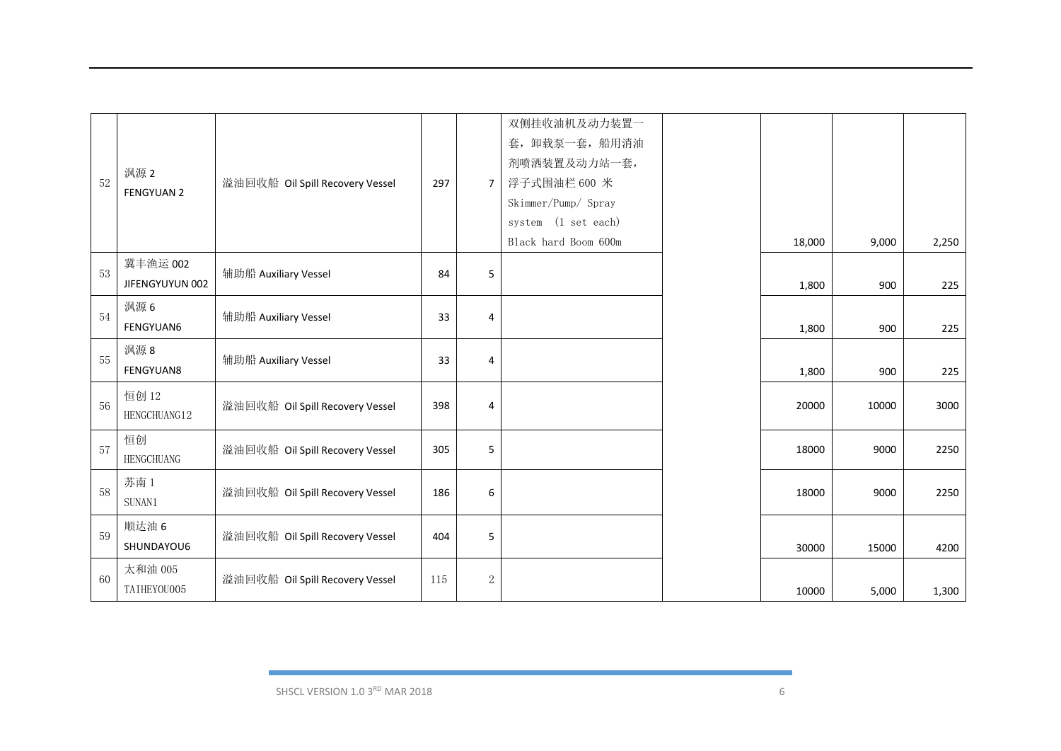| 52 | 沨源 2<br><b>FENGYUAN 2</b>   | 溢油回收船 Oil Spill Recovery Vessel | 297 | $7^{\circ}$ | 双侧挂收油机及动力装置一<br>套, 卸载泵一套, 船用消油<br>剂喷洒装置及动力站一套,<br>浮子式围油栏 600 米<br>Skimmer/Pump/ Spray<br>system (1 set each)<br>Black hard Boom 600m | 18,000 | 9,000 | 2,250 |
|----|-----------------------------|---------------------------------|-----|-------------|--------------------------------------------------------------------------------------------------------------------------------------|--------|-------|-------|
| 53 | 冀丰渔运 002<br>JIFENGYUYUN 002 | 辅助船 Auxiliary Vessel            | 84  | 5           |                                                                                                                                      | 1,800  | 900   | 225   |
| 54 | 沨源 6<br><b>FENGYUAN6</b>    | 辅助船 Auxiliary Vessel            | 33  | 4           |                                                                                                                                      | 1,800  | 900   | 225   |
| 55 | 沨源 8<br><b>FENGYUAN8</b>    | 辅助船 Auxiliary Vessel            | 33  | 4           |                                                                                                                                      | 1,800  | 900   | 225   |
| 56 | 恒创 12<br>HENGCHUANG12       | 溢油回收船 Oil Spill Recovery Vessel | 398 | 4           |                                                                                                                                      | 20000  | 10000 | 3000  |
| 57 | 恒创<br><b>HENGCHUANG</b>     | 溢油回收船 Oil Spill Recovery Vessel | 305 | 5           |                                                                                                                                      | 18000  | 9000  | 2250  |
| 58 | 苏南1<br>SUNAN1               | 溢油回收船 Oil Spill Recovery Vessel | 186 | 6           |                                                                                                                                      | 18000  | 9000  | 2250  |
| 59 | 顺达油 6<br>SHUNDAYOU6         | 溢油回收船 Oil Spill Recovery Vessel | 404 | 5           |                                                                                                                                      | 30000  | 15000 | 4200  |
| 60 | 太和油 005<br>TAIHEYOU005      | 溢油回收船 Oil Spill Recovery Vessel | 115 | $\,2$       |                                                                                                                                      | 10000  | 5,000 | 1,300 |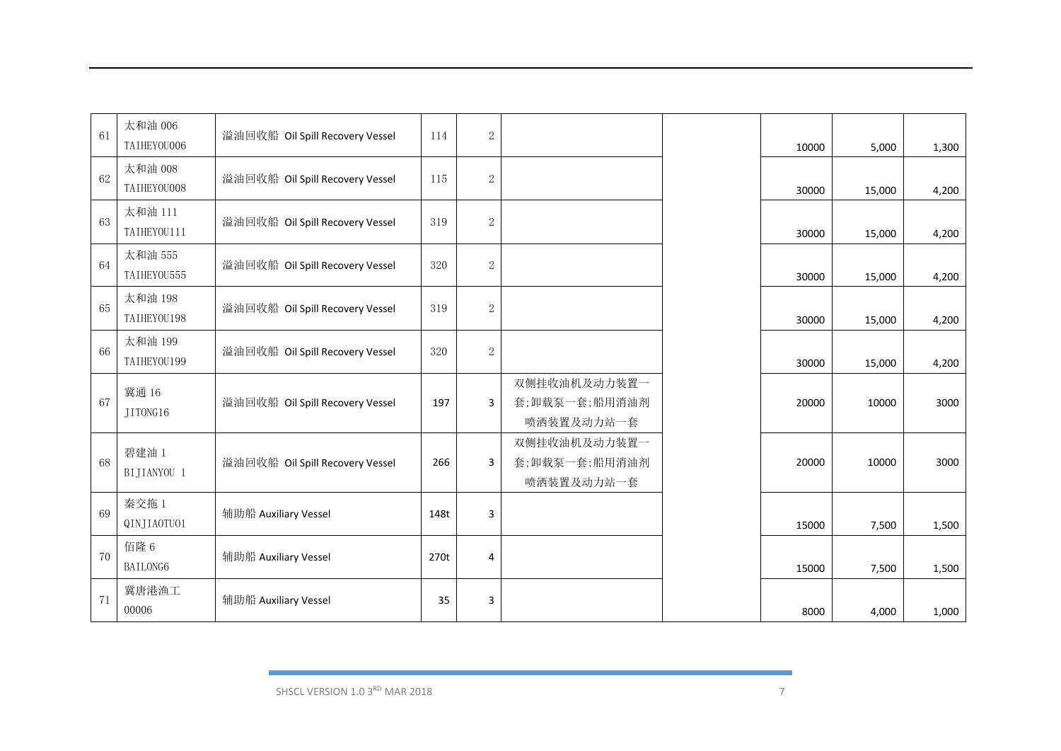| 61 | 太和油 006<br>TAIHEYOU006 | 溢油回收船 Oil Spill Recovery Vessel | 114  | $\mathbf{2}$     |                                             | 10000 | 5,000  | 1,300 |
|----|------------------------|---------------------------------|------|------------------|---------------------------------------------|-------|--------|-------|
| 62 | 太和油 008<br>TAIHEYOU008 | 溢油回收船 Oil Spill Recovery Vessel | 115  | $\sqrt{2}$       |                                             | 30000 | 15,000 | 4,200 |
| 63 | 太和油 111<br>TAIHEYOU111 | 溢油回收船 Oil Spill Recovery Vessel | 319  | $\sqrt{2}$       |                                             | 30000 | 15,000 | 4,200 |
| 64 | 太和油 555<br>TAIHEYOU555 | 溢油回收船 Oil Spill Recovery Vessel | 320  | $\sqrt{2}$       |                                             | 30000 | 15,000 | 4,200 |
| 65 | 太和油 198<br>TAIHEYOU198 | 溢油回收船 Oil Spill Recovery Vessel | 319  | $\boldsymbol{2}$ |                                             | 30000 | 15,000 | 4,200 |
| 66 | 太和油 199<br>TAIHEYOU199 | 溢油回收船 Oil Spill Recovery Vessel | 320  | $\sqrt{2}$       |                                             | 30000 | 15,000 | 4,200 |
| 67 | 冀通 16<br>JITONG16      | 溢油回收船 Oil Spill Recovery Vessel | 197  | 3                | 双侧挂收油机及动力装置一<br>套;卸载泵一套;船用消油剂<br>喷洒装置及动力站一套 | 20000 | 10000  | 3000  |
| 68 | 碧建油 1<br>BIJIANYOU 1   | 溢油回收船 Oil Spill Recovery Vessel | 266  | 3                | 双侧挂收油机及动力装置一<br>套;卸载泵一套;船用消油剂<br>喷洒装置及动力站一套 | 20000 | 10000  | 3000  |
| 69 | 秦交拖1<br>QINJIAOTUO1    | 辅助船 Auxiliary Vessel            | 148t | 3                |                                             | 15000 | 7,500  | 1,500 |
| 70 | 佰隆 6<br>BAILONG6       | 辅助船 Auxiliary Vessel            | 270t | 4                |                                             | 15000 | 7,500  | 1,500 |
| 71 | 冀唐港渔工<br>00006         | 辅助船 Auxiliary Vessel            | 35   | 3                |                                             | 8000  | 4,000  | 1,000 |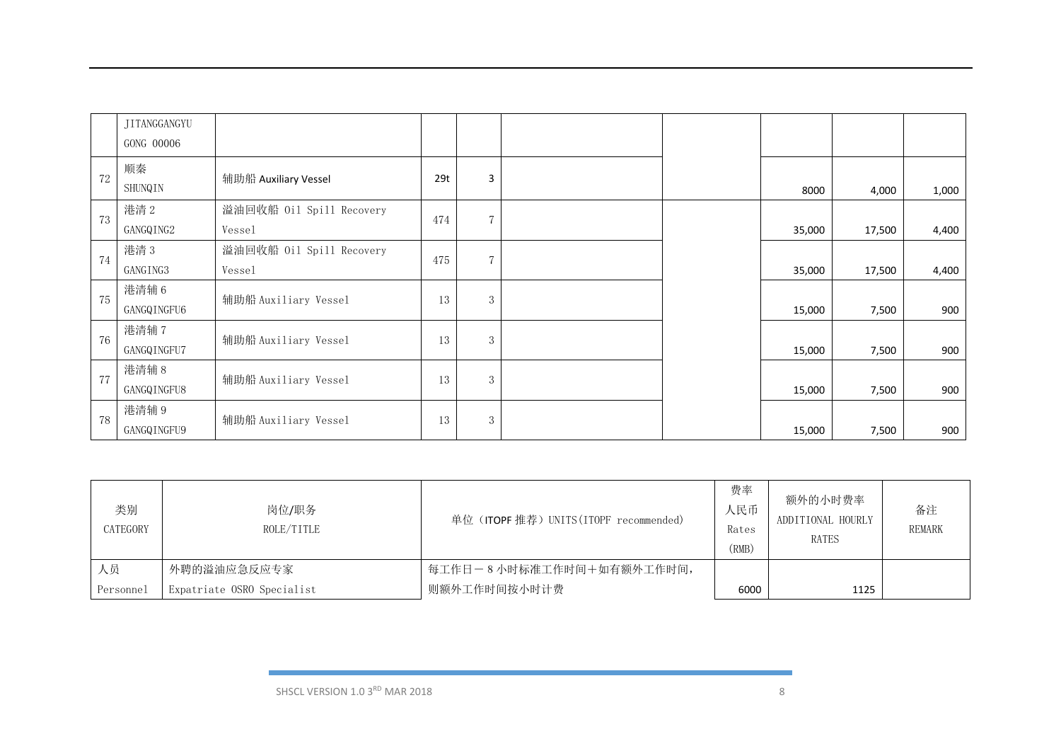|    | JITANGGANGYU         |                                    |     |                |  |        |        |       |
|----|----------------------|------------------------------------|-----|----------------|--|--------|--------|-------|
|    | GONG 00006           |                                    |     |                |  |        |        |       |
| 72 | 顺秦<br>SHUNQIN        | 辅助船 Auxiliary Vessel               | 29t | 3              |  | 8000   | 4,000  | 1,000 |
| 73 | 港清2<br>GANGQING2     | 溢油回收船 Oil Spill Recovery<br>Vessel | 474 | $\overline{7}$ |  | 35,000 | 17,500 | 4,400 |
| 74 | 港清3<br>GANGING3      | 溢油回收船 Oil Spill Recovery<br>Vessel | 475 | $\overline{7}$ |  | 35,000 | 17,500 | 4,400 |
| 75 | 港清辅6<br>GANGQINGFU6  | 辅助船 Auxiliary Vessel               | 13  | 3              |  | 15,000 | 7,500  | 900   |
| 76 | 港清辅 7<br>GANGQINGFU7 | 辅助船 Auxiliary Vessel               | 13  | 3              |  | 15,000 | 7,500  | 900   |
| 77 | 港清辅 8<br>GANGQINGFU8 | 辅助船 Auxiliary Vessel               | 13  | 3              |  | 15,000 | 7,500  | 900   |
| 78 | 港清辅 9<br>GANGQINGFU9 | 辅助船 Auxiliary Vessel               | 13  | 3              |  | 15,000 | 7,500  | 900   |

| 类别<br>CATEGORY | 岗位/职务<br>ROLE/TITLE        | 单位 (ITOPF 推荐) UNITS (ITOPF recommended) | 费率<br>人民币<br>Rates<br>(RMB) | 额外的小时费率<br>ADDITIONAL HOURLY<br>RATES | 备注<br><b>REMARK</b> |
|----------------|----------------------------|-----------------------------------------|-----------------------------|---------------------------------------|---------------------|
| 人员             | 外聘的溢油应急反应专家                | 每工作日-8小时标准工作时间+如有额外工作时间,                |                             |                                       |                     |
| Personnel      | Expatriate OSRO Specialist | 则额外工作时间按小时计费                            | 6000                        | 1125                                  |                     |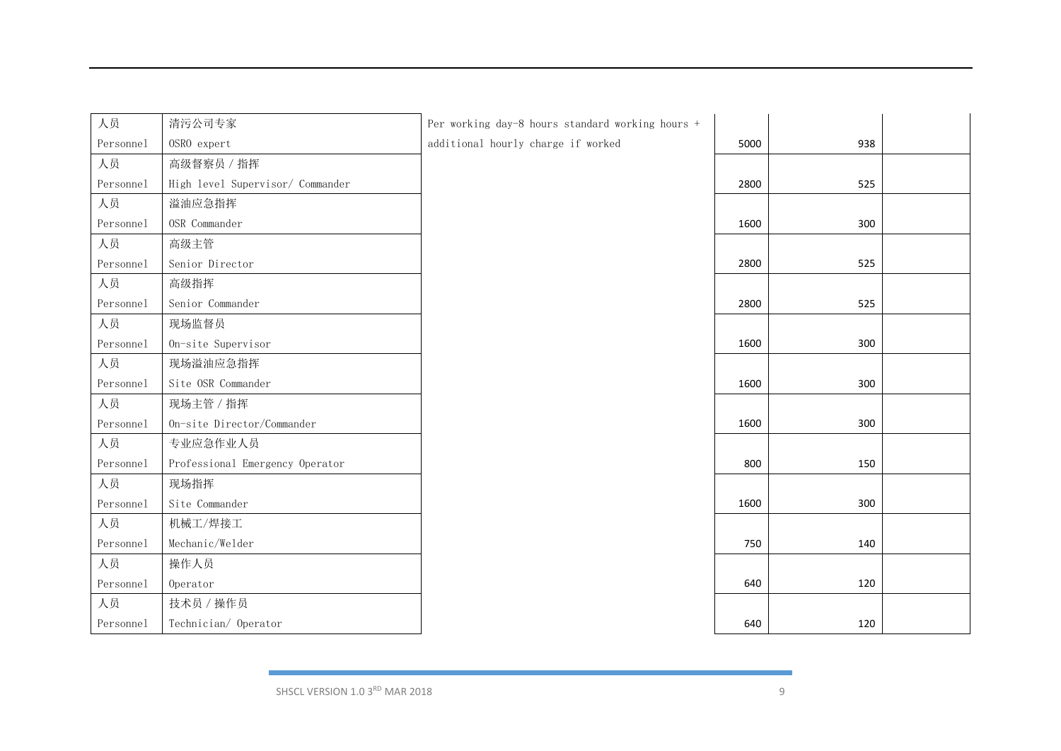| 人员        | 清污公司专家                           | Per working day-8 hours standard working hours + |      |     |  |
|-----------|----------------------------------|--------------------------------------------------|------|-----|--|
| Personnel | OSRO expert                      | additional hourly charge if worked               | 5000 | 938 |  |
| 人员        | 高级督察员 / 指挥                       |                                                  |      |     |  |
| Personnel | High level Supervisor/ Commander |                                                  | 2800 | 525 |  |
| 人员        | 溢油应急指挥                           |                                                  |      |     |  |
| Personnel | OSR Commander                    |                                                  | 1600 | 300 |  |
| 人员        | 高级主管                             |                                                  |      |     |  |
| Personnel | Senior Director                  |                                                  | 2800 | 525 |  |
| 人员        | 高级指挥                             |                                                  |      |     |  |
| Personnel | Senior Commander                 |                                                  | 2800 | 525 |  |
| 人员        | 现场监督员                            |                                                  |      |     |  |
| Personnel | On-site Supervisor               |                                                  | 1600 | 300 |  |
| 人员        | 现场溢油应急指挥                         |                                                  |      |     |  |
| Personnel | Site OSR Commander               |                                                  | 1600 | 300 |  |
| 人员        | 现场主管 / 指挥                        |                                                  |      |     |  |
| Personnel | On-site Director/Commander       |                                                  | 1600 | 300 |  |
| 人员        | 专业应急作业人员                         |                                                  |      |     |  |
| Personnel | Professional Emergency Operator  |                                                  | 800  | 150 |  |
| 人员        | 现场指挥                             |                                                  |      |     |  |
| Personnel | Site Commander                   |                                                  | 1600 | 300 |  |
| 人员        | 机械工/焊接工                          |                                                  |      |     |  |
| Personnel | Mechanic/Welder                  |                                                  | 750  | 140 |  |
| 人员        | 操作人员                             |                                                  |      |     |  |
| Personnel | Operator                         |                                                  | 640  | 120 |  |
| 人员        | 技术员 / 操作员                        |                                                  |      |     |  |
| Personnel | Technician/ Operator             |                                                  | 640  | 120 |  |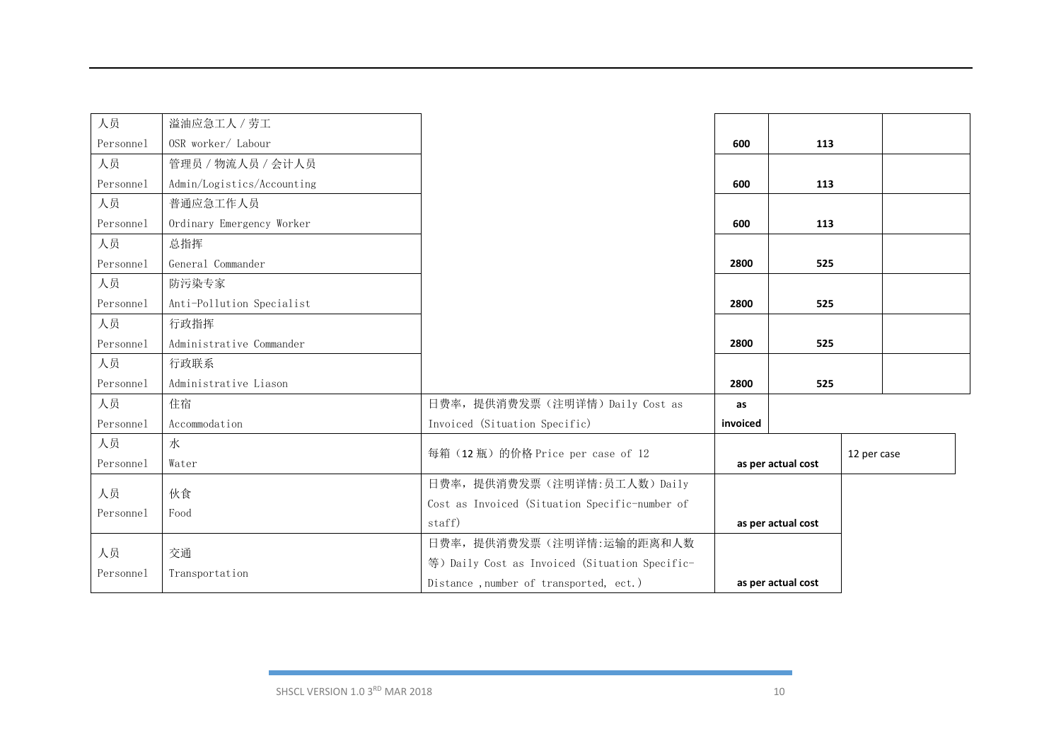| 人员        | 溢油应急工人 / 劳工                |                                                |          |                    |             |  |
|-----------|----------------------------|------------------------------------------------|----------|--------------------|-------------|--|
| Personnel | OSR worker/ Labour         |                                                | 600      | 113                |             |  |
| 人员        | 管理员 / 物流人员 / 会计人员          |                                                |          |                    |             |  |
| Personnel | Admin/Logistics/Accounting |                                                | 600      | 113                |             |  |
| 人员        | 普通应急工作人员                   |                                                |          |                    |             |  |
| Personnel | Ordinary Emergency Worker  |                                                | 600      | 113                |             |  |
| 人员        | 总指挥                        |                                                |          |                    |             |  |
| Personnel | General Commander          |                                                | 2800     | 525                |             |  |
| 人员        | 防污染专家                      |                                                |          |                    |             |  |
| Personnel | Anti-Pollution Specialist  |                                                | 2800     | 525                |             |  |
| 人员        | 行政指挥                       |                                                |          |                    |             |  |
| Personnel | Administrative Commander   |                                                | 2800     | 525                |             |  |
| 人员        | 行政联系                       |                                                |          |                    |             |  |
| Personnel | Administrative Liason      |                                                | 2800     | 525                |             |  |
| 人员        | 住宿                         | 日费率, 提供消费发票(注明详情) Daily Cost as                | as       |                    |             |  |
| Personnel | Accommodation              | Invoiced (Situation Specific)                  | invoiced |                    |             |  |
| 人员        | 水                          | 每箱 (12瓶) 的价格 Price per case of 12              |          |                    |             |  |
| Personnel | Water                      |                                                |          | as per actual cost | 12 per case |  |
| 人员        | 伙食                         | 日费率, 提供消费发票(注明详情:员工人数) Daily                   |          |                    |             |  |
| Personnel | Food                       | Cost as Invoiced (Situation Specific-number of |          |                    |             |  |
|           |                            | staff)                                         |          | as per actual cost |             |  |
| 人员        | 交通                         | 日费率, 提供消费发票(注明详情:运输的距离和人数                      |          |                    |             |  |
| Personnel | Transportation             | 等) Daily Cost as Invoiced (Situation Specific- |          |                    |             |  |
|           |                            | Distance, number of transported, ect.)         |          | as per actual cost |             |  |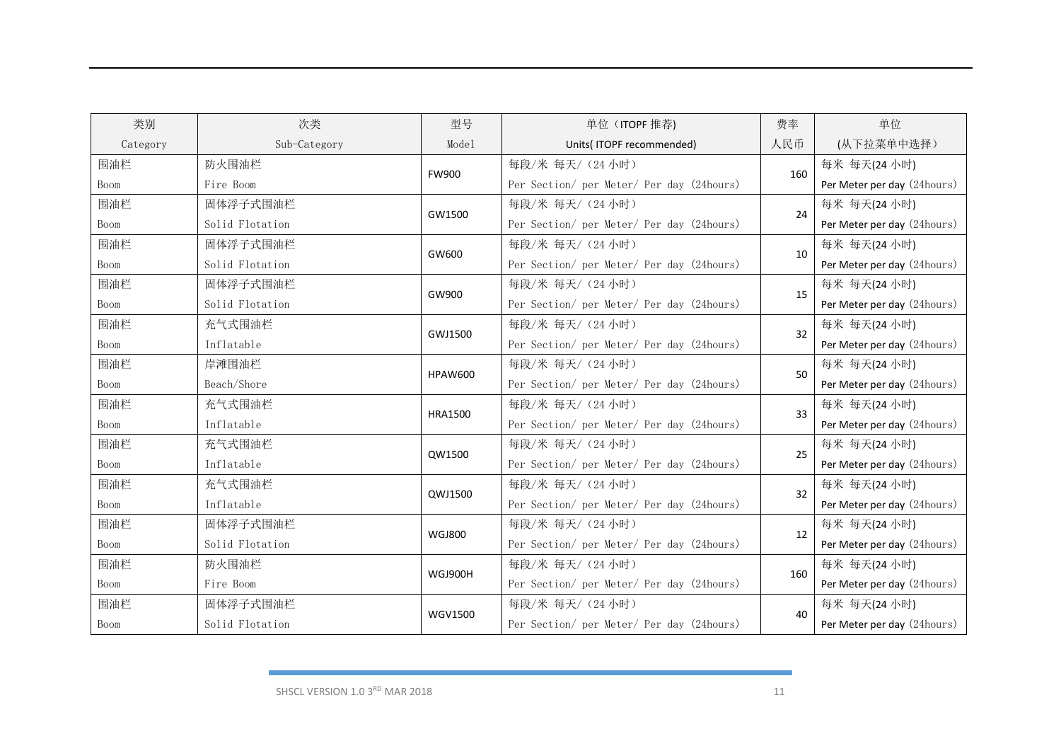| 类别       | 次类              | 型号             | 单位 (ITOPF 推荐)                             | 费率  | 单位                          |
|----------|-----------------|----------------|-------------------------------------------|-----|-----------------------------|
| Category | Sub-Category    | Model          | Units(ITOPF recommended)                  | 人民币 | (从下拉菜单中选择)                  |
| 围油栏      | 防火围油栏           | <b>FW900</b>   | 每段/米 每天/ (24 小时)                          | 160 | 每米 每天(24 小时)                |
| Boom     | Fire Boom       |                | Per Section/ per Meter/ Per day (24hours) |     | Per Meter per day (24hours) |
| 围油栏      | 固体浮子式围油栏        | GW1500         | 每段/米 每天/ (24 小时)                          | 24  | 每米 每天(24 小时)                |
| Boom     | Solid Flotation |                | Per Section/ per Meter/ Per day (24hours) |     | Per Meter per day (24hours) |
| 围油栏      | 固体浮子式围油栏        | GW600          | 每段/米 每天/ (24 小时)                          | 10  | 每米 每天(24 小时)                |
| Boom     | Solid Flotation |                | Per Section/ per Meter/ Per day (24hours) |     | Per Meter per day (24hours) |
| 围油栏      | 固体浮子式围油栏        | GW900          | 每段/米 每天/ (24 小时)                          | 15  | 每米 每天(24 小时)                |
| Boom     | Solid Flotation |                | Per Section/ per Meter/ Per day (24hours) |     | Per Meter per day (24hours) |
| 围油栏      | 充气式围油栏          | GWJ1500        | 每段/米 每天/ (24 小时)                          | 32  | 每米 每天(24 小时)                |
| Boom     | Inflatable      |                | Per Section/ per Meter/ Per day (24hours) |     | Per Meter per day (24hours) |
| 围油栏      | 岸滩围油栏           | <b>HPAW600</b> | 每段/米 每天/ (24 小时)                          | 50  | 每米 每天(24 小时)                |
| Boom     | Beach/Shore     |                | Per Section/ per Meter/ Per day (24hours) |     | Per Meter per day (24hours) |
| 围油栏      | 充气式围油栏          | <b>HRA1500</b> | 每段/米 每天/ (24 小时)                          | 33  | 每米 每天(24 小时)                |
| Boom     | Inflatable      |                | Per Section/ per Meter/ Per day (24hours) |     | Per Meter per day (24hours) |
| 围油栏      | 充气式围油栏          | QW1500         | 每段/米 每天/ (24 小时)                          | 25  | 每米 每天(24 小时)                |
| Boom     | Inflatable      |                | Per Section/ per Meter/ Per day (24hours) |     | Per Meter per day (24hours) |
| 围油栏      | 充气式围油栏          | QWJ1500        | 每段/米 每天/ (24 小时)                          | 32  | 每米 每天(24 小时)                |
| Boom     | Inflatable      |                | Per Section/ per Meter/ Per day (24hours) |     | Per Meter per day (24hours) |
| 围油栏      | 固体浮子式围油栏        | <b>WGJ800</b>  | 每段/米 每天/ (24 小时)                          | 12  | 每米 每天(24 小时)                |
| Boom     | Solid Flotation |                | Per Section/ per Meter/ Per day (24hours) |     | Per Meter per day (24hours) |
| 围油栏      | 防火围油栏           | WGJ900H        | 每段/米 每天/ (24 小时)                          | 160 | 每米 每天(24 小时)                |
| Boom     | Fire Boom       |                | Per Section/ per Meter/ Per day (24hours) |     | Per Meter per day (24hours) |
| 围油栏      | 固体浮子式围油栏        | <b>WGV1500</b> | 每段/米 每天/ (24 小时)                          | 40  | 每米 每天(24 小时)                |
| Boom     | Solid Flotation |                | Per Section/ per Meter/ Per day (24hours) |     | Per Meter per day (24hours) |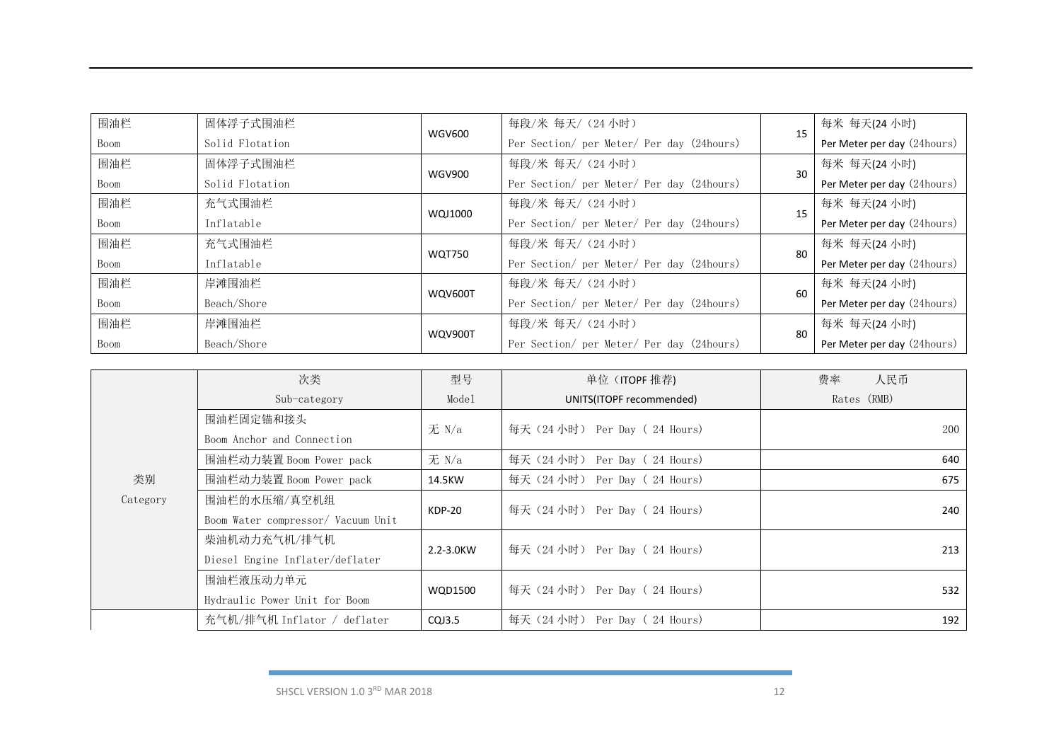| 围油栏  | 固体浮子式围油栏        |                | 每段/米 每天/ (24 小时)                          | 15  | 每米 每天(24 小时)                |
|------|-----------------|----------------|-------------------------------------------|-----|-----------------------------|
| Boom | Solid Flotation | <b>WGV600</b>  | Per Section/ per Meter/ Per day (24hours) |     | Per Meter per day (24hours) |
| 围油栏  | 固体浮子式围油栏        | <b>WGV900</b>  | 每段/米 每天/ (24 小时)                          | 30  | 每米 每天(24 小时)                |
| Boom | Solid Flotation |                | Per Section/ per Meter/ Per day (24hours) |     | Per Meter per day (24hours) |
| 围油栏  | 充气式围油栏          |                | 每段/米 每天/ (24 小时)                          | 15  | 每米 每天(24 小时)                |
| Boom | Inflatable      | WQJ1000        | Per Section/ per Meter/ Per day (24hours) |     | Per Meter per day (24hours) |
| 围油栏  | 充气式围油栏          | <b>WQT750</b>  | 每段/米 每天/ (24 小时)                          | 80  | 每米 每天(24 小时)                |
| Boom | Inflatable      |                | Per Section/ per Meter/ Per day (24hours) |     | Per Meter per day (24hours) |
| 围油栏  | 岸滩围油栏           |                | 每段/米 每天/ (24 小时)                          | 60  | 每米 每天(24 小时)                |
| Boom | Beach/Shore     | WQV600T        | Per Section/ per Meter/ Per day (24hours) |     | Per Meter per day (24hours) |
| 围油栏  | 岸滩围油栏           | <b>WQV900T</b> | 每段/米 每天/ (24 小时)                          | -80 | 每米 每天(24 小时)                |
| Boom | Beach/Shore     |                | Per Section/ per Meter/ Per day (24hours) |     | Per Meter per day (24hours) |

|          | 次类                                 | 型号             | 单位 (ITOPF 推荐)                 | 费率<br>人民币   |  |
|----------|------------------------------------|----------------|-------------------------------|-------------|--|
|          | Sub-category                       | Model          | UNITS(ITOPF recommended)      | Rates (RMB) |  |
|          | 围油栏固定锚和接头                          | 无 N/a          |                               | 200         |  |
|          | Boom Anchor and Connection         |                | 每天(24小时) Per Day (24 Hours)   |             |  |
|          | 围油栏动力装置 Boom Power pack            | 无 N/a          | 每天 (24 小时) Per Day (24 Hours) | 640         |  |
| 类别       | 围油栏动力装置 Boom Power pack            | 14.5KW         | 每天 (24 小时) Per Day (24 Hours) | 675         |  |
| Category | 围油栏的水压缩/真空机组                       | KDP-20         | 每天 (24 小时) Per Day (24 Hours) | 240         |  |
|          | Boom Water compressor/ Vacuum Unit |                |                               |             |  |
|          | 柴油机动力充气机/排气机                       | 2.2-3.0KW      |                               | 213         |  |
|          | Diesel Engine Inflater/deflater    |                | 每天(24小时) Per Day (24 Hours)   |             |  |
|          | 围油栏液压动力单元                          | <b>WQD1500</b> |                               | 532         |  |
|          | Hydraulic Power Unit for Boom      |                | 每天 (24 小时) Per Day (24 Hours) |             |  |
|          | 充气机/排气机 Inflator / deflater        | CQJ3.5         | 每天 (24 小时) Per Day (24 Hours) | 192         |  |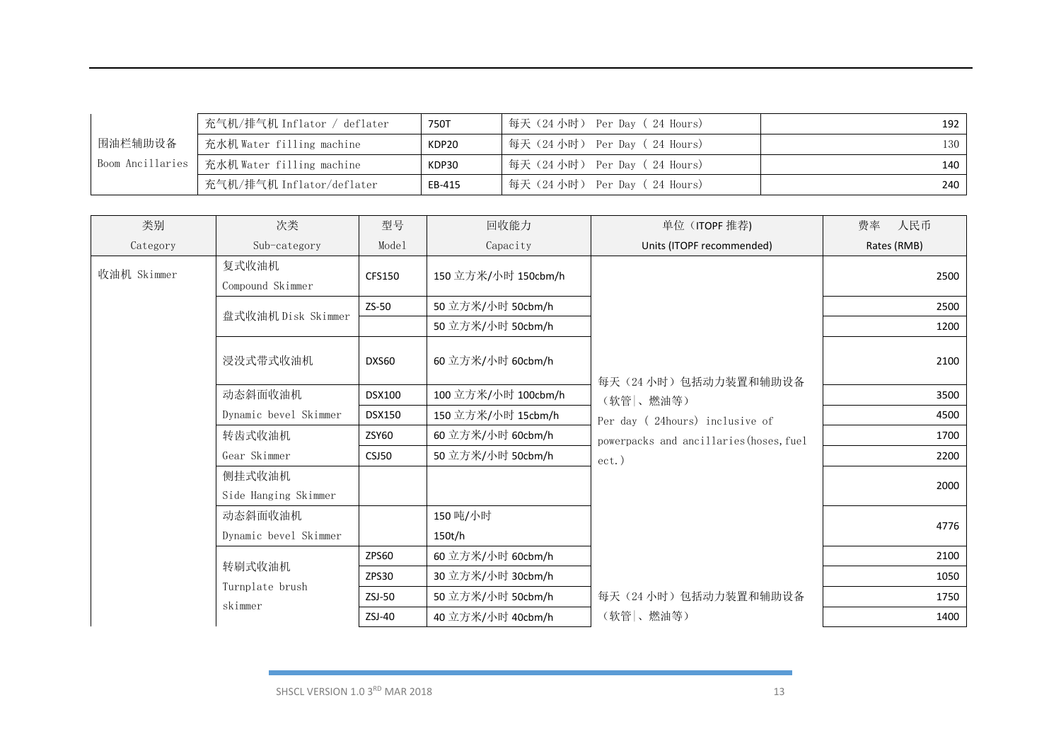|                  | 充气机/排气机 Inflator / deflater | 750T   | 每天(24 小时) Per Day( 24 Hours) | 192 l |
|------------------|-----------------------------|--------|------------------------------|-------|
| 围油栏辅助设备          | 充水机 Water filling machine   | KDP20  | 每天(24 小时) Per Day( 24 Hours) | 130   |
| Boom Ancillaries | 充水机 Water filling machine   | KDP30  | 每天(24 小时) Per Day( 24 Hours) | 140   |
|                  | ,充气机/排气机 Inflator/deflater  | EB-415 | 每天(24小时) Per Day (24 Hours)  | 240   |

| 类别          | 次类                             | 型号            | 回收能力                | 单位 (ITOPF 推荐)                           | 费率<br>人民币   |
|-------------|--------------------------------|---------------|---------------------|-----------------------------------------|-------------|
| Category    | Sub-category                   | Model         | Capacity            | Units (ITOPF recommended)               | Rates (RMB) |
| 收油机 Skimmer | 复式收油机<br>Compound Skimmer      | CFS150        | 150 立方米/小时 150cbm/h |                                         | 2500        |
|             | 盘式收油机 Disk Skimmer             | ZS-50         | 50 立方米/小时 50cbm/h   |                                         | 2500        |
|             |                                |               | 50 立方米/小时 50cbm/h   |                                         | 1200        |
|             | 浸没式带式收油机                       | DXS60         | 60 立方米/小时 60cbm/h   | 每天(24小时)包括动力装置和辅助设备                     | 2100        |
|             | 动态斜面收油机                        | <b>DSX100</b> | 100 立方米/小时 100cbm/h | (软管 、燃油等)                               | 3500        |
|             | Dynamic bevel Skimmer          | <b>DSX150</b> | 150 立方米/小时 15cbm/h  | Per day (24hours) inclusive of          | 4500        |
|             | 转齿式收油机                         | <b>ZSY60</b>  | 60 立方米/小时 60cbm/h   | powerpacks and ancillaries (hoses, fuel | 1700        |
|             | Gear Skimmer                   | CSJ50         | 50 立方米/小时 50cbm/h   | $ect.$ )                                | 2200        |
|             | 侧挂式收油机<br>Side Hanging Skimmer |               |                     |                                         | 2000        |
|             | 动态斜面收油机                        |               | 150 吨/小时            |                                         | 4776        |
|             | Dynamic bevel Skimmer          |               | 150t/h              |                                         |             |
|             |                                | ZPS60         | 60 立方米/小时 60cbm/h   |                                         | 2100        |
|             | 转刷式收油机                         | ZPS30         | 30 立方米/小时 30cbm/h   |                                         | 1050        |
|             | Turnplate brush<br>skimmer     | $ZSJ-50$      | 50 立方米/小时 50cbm/h   | 每天(24小时)包括动力装置和辅助设备                     | 1750        |
|             |                                | ZSJ-40        | 40 立方米/小时 40cbm/h   | (软管 、燃油等)                               | 1400        |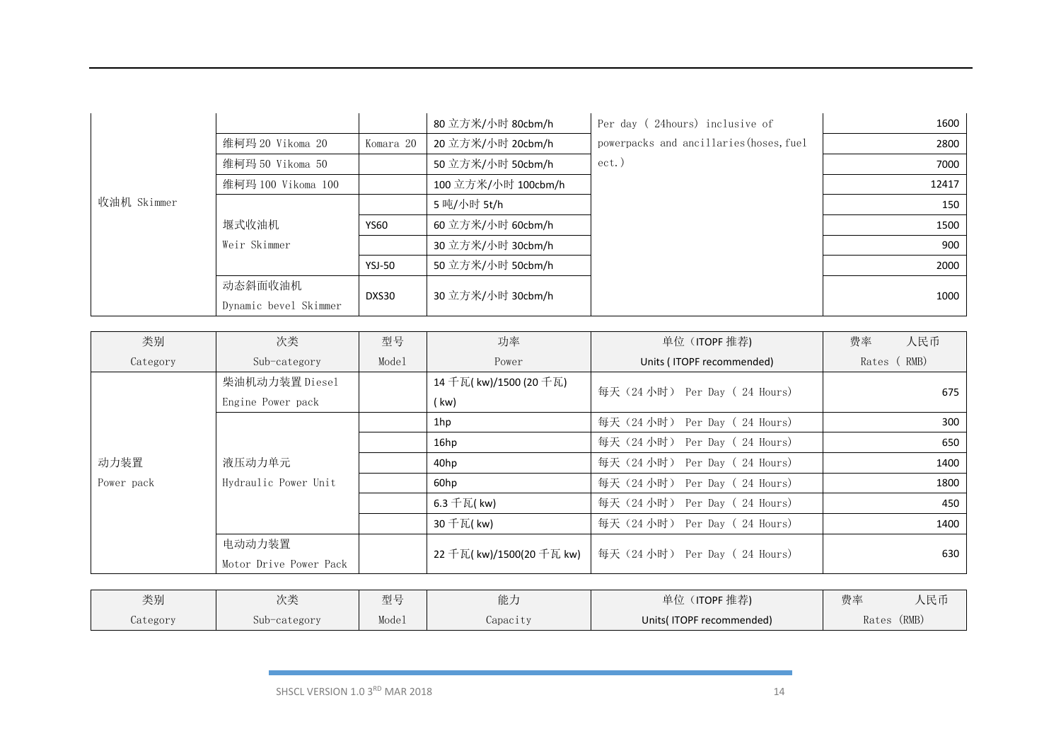|             |                       |               | 80 立方米/小时 80cbm/h   | Per day (24hours) inclusive of          | 1600  |
|-------------|-----------------------|---------------|---------------------|-----------------------------------------|-------|
|             | 维柯玛 20 Vikoma 20      | Komara 20     | 20 立方米/小时 20cbm/h   | powerpacks and ancillaries (hoses, fuel | 2800  |
|             | 维柯玛 50 Vikoma 50      |               | 50 立方米/小时 50cbm/h   | ect.)                                   | 7000  |
|             | 维柯玛 100 Vikoma 100    |               | 100 立方米/小时 100cbm/h |                                         | 12417 |
| 收油机 Skimmer |                       |               | 5 吨/小时 5t/h         |                                         | 150   |
|             | 堰式收油机                 | <b>YS60</b>   | 60 立方米/小时 60cbm/h   |                                         | 1500  |
|             | Weir Skimmer          |               | 30 立方米/小时 30cbm/h   |                                         | 900   |
|             |                       | <b>YSJ-50</b> | 50 立方米/小时 50cbm/h   |                                         | 2000  |
|             | 动态斜面收油机               |               | 30 立方米/小时 30cbm/h   |                                         |       |
|             | Dynamic bevel Skimmer | DXS30         |                     |                                         | 1000  |

| 类别         | 次类                     | 型号    | 功率                        | 单位 (ITOPF 推荐)                 | 费率<br>人民币   |
|------------|------------------------|-------|---------------------------|-------------------------------|-------------|
| Category   | Sub-category           | Model | Power                     | Units (ITOPF recommended)     | Rates (RMB) |
|            | 柴油机动力装置 Diesel         |       | 14 千瓦( kw)/1500 (20 千瓦)   | 每天 (24 小时) Per Day (24 Hours) | 675         |
|            | Engine Power pack      |       | (kw)                      |                               |             |
|            |                        |       | 1hp                       | 每天 (24 小时) Per Day (24 Hours) | 300         |
|            |                        |       | 16hp                      | 每天 (24 小时) Per Day (24 Hours) | 650         |
| 动力装置       | 液压动力单元                 |       | 40hp                      | 每天 (24 小时) Per Day (24 Hours) | 1400        |
| Power pack | Hydraulic Power Unit   |       | 60hp                      | 每天 (24 小时) Per Day (24 Hours) | 1800        |
|            |                        |       | 6.3 千瓦(kw)                | 每天 (24 小时) Per Day (24 Hours) | 450         |
|            |                        |       | 30 千瓦( kw)                | 每天(24 小时) Per Day ( 24 Hours) | 1400        |
|            | 电动动力装置                 |       | 22 千瓦( kw)/1500(20 千瓦 kw) | 每天(24 小时) Per Day( 24 Hours)  | 630         |
|            | Motor Drive Power Pack |       |                           |                               |             |

| 类别       | 次类           | 型号    | 台匕 十<br>ロロノマ | 单位<br>(ITOPF 推荐)         | 费率    | 人民币   |
|----------|--------------|-------|--------------|--------------------------|-------|-------|
| Category | Sub-category | Model | Capacity     | Units(ITOPF recommended) | Rates | (RMB) |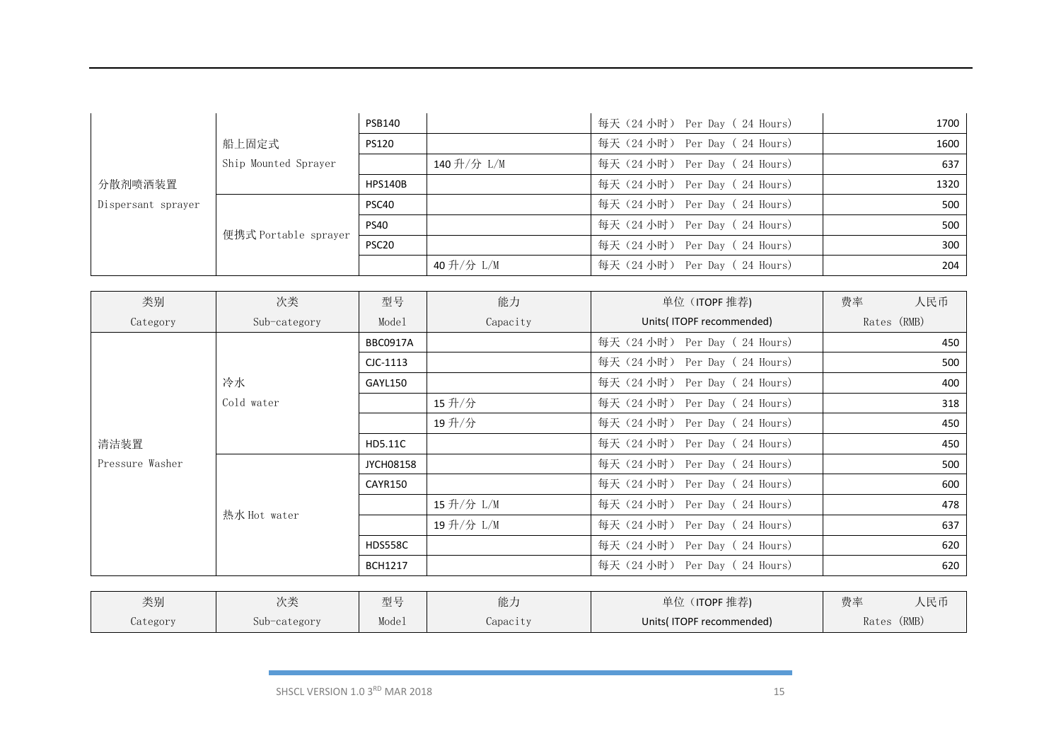|                    |                      | <b>PSB140</b>     |            | 每天 (24 小时) Per Day (24 Hours) | 1700 |
|--------------------|----------------------|-------------------|------------|-------------------------------|------|
|                    | 船上固定式                | <b>PS120</b>      |            | 每天 (24 小时) Per Day (24 Hours) | 1600 |
|                    | Ship Mounted Sprayer |                   | 140升/分 L/M | 每天 (24 小时) Per Day (24 Hours) | 637  |
| 分散剂喷洒装置            |                      | HPS140B           |            | 每天 (24 小时) Per Day (24 Hours) | 1320 |
| Dispersant sprayer | 便携式 Portable sprayer | PSC40             |            | 每天 (24 小时) Per Day (24 Hours) | 500  |
|                    |                      | <b>PS40</b>       |            | 每天 (24 小时) Per Day (24 Hours) | 500  |
|                    |                      | PSC <sub>20</sub> |            | 每天 (24 小时) Per Day (24 Hours) | 300  |
|                    |                      |                   | 40升/分 L/M  | 每天 (24 小时) Per Day (24 Hours) | 204  |

| 类别              | 次类           | 型号               | 能力        | 单位 (ITOPF 推荐)                 | 费率          | 人民币 |
|-----------------|--------------|------------------|-----------|-------------------------------|-------------|-----|
| Category        | Sub-category | Model            | Capacity  | Units(ITOPF recommended)      | Rates (RMB) |     |
|                 |              | <b>BBC0917A</b>  |           | 每天 (24 小时) Per Day (24 Hours) |             | 450 |
|                 |              | $CIC-1113$       |           | 每天 (24 小时) Per Day (24 Hours) |             | 500 |
|                 | 冷水           | <b>GAYL150</b>   |           | 每天 (24 小时) Per Day (24 Hours) |             | 400 |
|                 | Cold water   |                  | 15升/分     | 每天 (24 小时) Per Day (24 Hours) |             | 318 |
|                 |              |                  | 19升/分     | 每天 (24 小时) Per Day (24 Hours) |             | 450 |
| 清洁装置            |              | HD5.11C          |           | 每天 (24 小时) Per Day (24 Hours) |             | 450 |
| Pressure Washer |              | <b>JYCH08158</b> |           | 每天 (24 小时) Per Day (24 Hours) |             | 500 |
|                 |              | CAYR150          |           | 每天 (24 小时) Per Day (24 Hours) |             | 600 |
|                 | 热水 Hot water |                  | 15升/分 L/M | 每天 (24 小时) Per Day (24 Hours) |             | 478 |
|                 |              |                  | 19升/分 L/M | 每天 (24 小时) Per Day (24 Hours) |             | 637 |
|                 |              | HDS558C          |           | 每天 (24 小时) Per Day (24 Hours) |             | 620 |
|                 |              | <b>BCH1217</b>   |           | 每天 (24 小时) Per Day (24 Hours) |             | 620 |

| 类别       | 》 米<br>ハベ    | 型号    | 能力               | 单位<br>ITOPF 推荐)          | 费率    | 人民币   |
|----------|--------------|-------|------------------|--------------------------|-------|-------|
| Category | Sub-category | Model | <i>C</i> apacity | Units(ITOPF recommended) | Rates | (RMB) |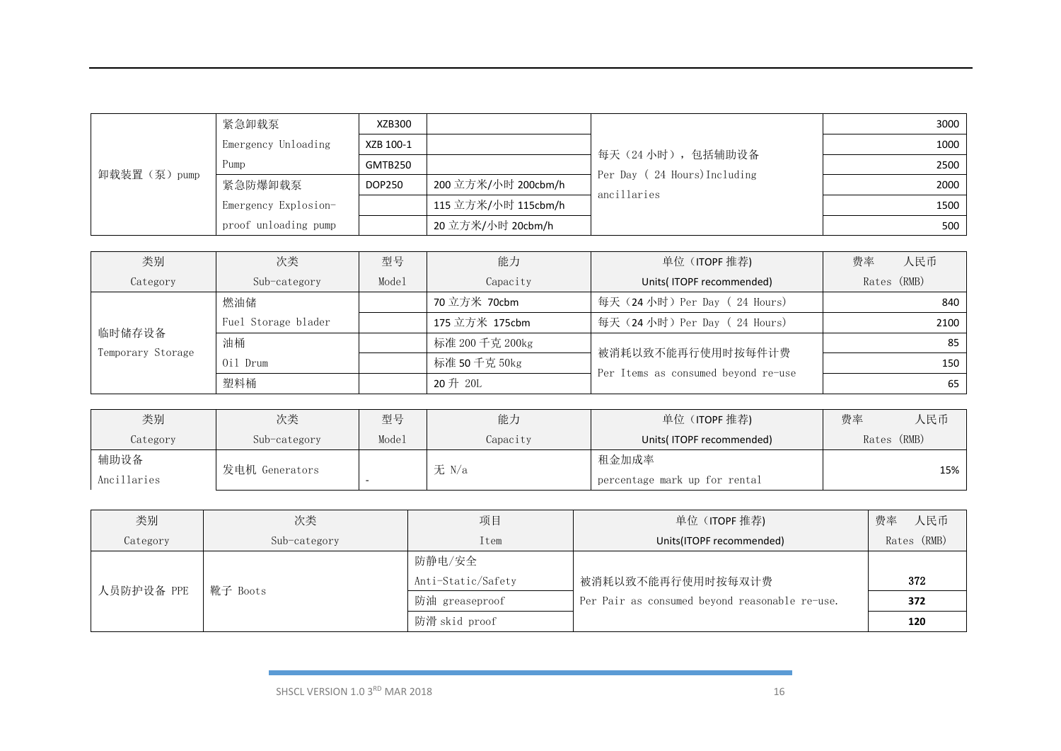|             | 紧急卸载泵                | XZB300        |                     |                                                 | 3000 |
|-------------|----------------------|---------------|---------------------|-------------------------------------------------|------|
|             | Emergency Unloading  | XZB 100-1     |                     |                                                 | 1000 |
| 卸载装置(泵)pump | Pump                 | GMTB250       |                     | 每天(24小时),包括辅助设备<br>Per Day (24 Hours) Including | 2500 |
|             | 紧急防爆卸载泵              | <b>DOP250</b> | 200 立方米/小时 200cbm/h | ancillaries                                     | 2000 |
|             | Emergency Explosion- |               | 115 立方米/小时 115cbm/h |                                                 | 1500 |
|             | proof unloading pump |               | 20 立方米/小时 20cbm/h   |                                                 | 500  |

| 类别                | 次类                  | 型号    | 能力              | 单位 (ITOPF 推荐)                       | 费率<br>人民币   |
|-------------------|---------------------|-------|-----------------|-------------------------------------|-------------|
| Category          | Sub-category        | Mode1 | Capacity        | Units(ITOPF recommended)            | Rates (RMB) |
|                   | 燃油储                 |       | 70 立方米 70cbm    | 每天 (24 小时) Per Day (24 Hours)       | 840         |
| 临时储存设备            | Fuel Storage blader |       | 175 立方米 175cbm  | 每天 (24 小时) Per Day (24 Hours)       | 2100        |
|                   | 油桶                  |       | 标准 200 千克 200kg | 被消耗以致不能再行使用时按每件计费                   | 85          |
| Temporary Storage | Oil Drum            |       | 标准 50 千克 50kg   | Per Items as consumed beyond re-use | 150         |
|                   | 塑料桶                 |       | 20 升 20L        |                                     | 65          |

| 类别          | 次类             | 型号    | 能力       | 单位 (ITOPF 推荐)                 | 费率 | 人民币         |
|-------------|----------------|-------|----------|-------------------------------|----|-------------|
| Category    | Sub-category   | Model | Capacity | Units(ITOPF recommended)      |    | Rates (RMB) |
| 辅助设备        | 发电机 Generators |       | 无 N/a    | 租金加成率                         |    |             |
| Ancillaries |                |       |          | percentage mark up for rental |    | 15%         |

| 类别         | 次类           | 项目                 | 单位 (ITOPF 推荐)                                  | 费率<br>人民币   |
|------------|--------------|--------------------|------------------------------------------------|-------------|
| Category   | Sub-category | Item               | Units(ITOPF recommended)                       | Rates (RMB) |
|            |              | 防静电/安全             |                                                |             |
| 人员防护设备 PPE | 靴子 Boots     | Anti-Static/Safety | 被消耗以致不能再行使用时按每双计费                              | 372         |
|            |              | 防油 greaseproof     | Per Pair as consumed beyond reasonable re-use. | 372         |
|            |              | 防滑 skid proof      |                                                | 120         |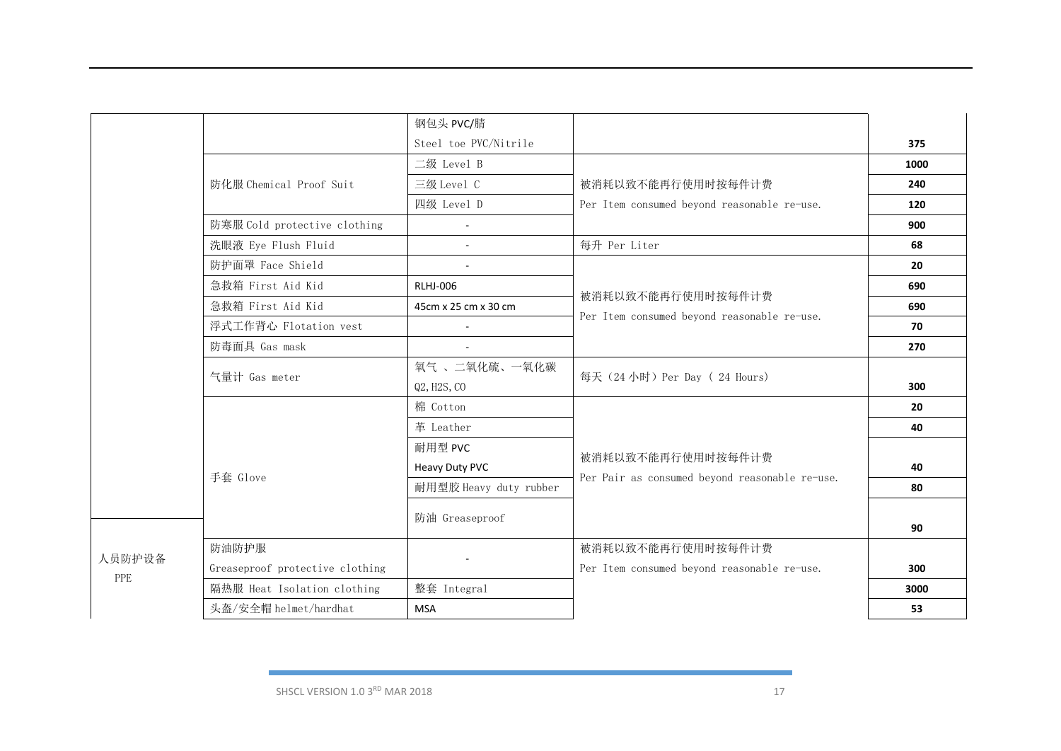|               |                                      | 钢包头 PVC/腈              |                                                |      |
|---------------|--------------------------------------|------------------------|------------------------------------------------|------|
|               |                                      | Steel toe PVC/Nitrile  |                                                | 375  |
|               |                                      | 二级 Level B             |                                                | 1000 |
|               | 防化服 Chemical Proof Suit              | 三级 Level C             | 被消耗以致不能再行使用时按每件计费                              | 240  |
|               |                                      | 四级 Level D             | Per Item consumed beyond reasonable re-use.    | 120  |
|               | 防寒服 Cold protective clothing         | ÷.                     |                                                | 900  |
|               | 洗眼液 Eye Flush Fluid                  |                        | 每升 Per Liter                                   | 68   |
|               | 防护面罩 Face Shield                     |                        |                                                | 20   |
|               | 急救箱 First Aid Kid<br><b>RLHJ-006</b> |                        | 被消耗以致不能再行使用时按每件计费                              | 690  |
|               | 急救箱 First Aid Kid                    | 45cm x 25 cm x 30 cm   | Per Item consumed beyond reasonable re-use.    | 690  |
|               | 浮式工作背心 Flotation vest                | $\mathbf{r}$           |                                                | 70   |
|               | 防毒面具 Gas mask                        |                        |                                                | 270  |
|               | 气量计 Gas meter                        | 氧气、二氧化硫、一氧化碳           | 每天 (24 小时) Per Day (24 Hours)                  |      |
|               |                                      | Q2, H2S, CO            |                                                | 300  |
|               |                                      | 棉 Cotton               |                                                | 20   |
|               |                                      | 革 Leather              |                                                | 40   |
|               |                                      | 耐用型 PVC                | 被消耗以致不能再行使用时按每件计费                              |      |
|               | 手套 Glove                             | Heavy Duty PVC         | Per Pair as consumed beyond reasonable re-use. | 40   |
|               |                                      | 耐用型胶 Heavy duty rubber |                                                | 80   |
|               |                                      | 防油 Greaseproof         |                                                |      |
| 人员防护设备<br>PPE |                                      |                        |                                                | 90   |
|               | 防油防护服                                |                        | 被消耗以致不能再行使用时按每件计费                              |      |
|               | Greaseproof protective clothing      |                        | Per Item consumed beyond reasonable re-use.    | 300  |
|               | 隔热服 Heat Isolation clothing          | 整套 Integral            |                                                | 3000 |
|               | 头盔/安全帽 helmet/hardhat                | <b>MSA</b>             |                                                | 53   |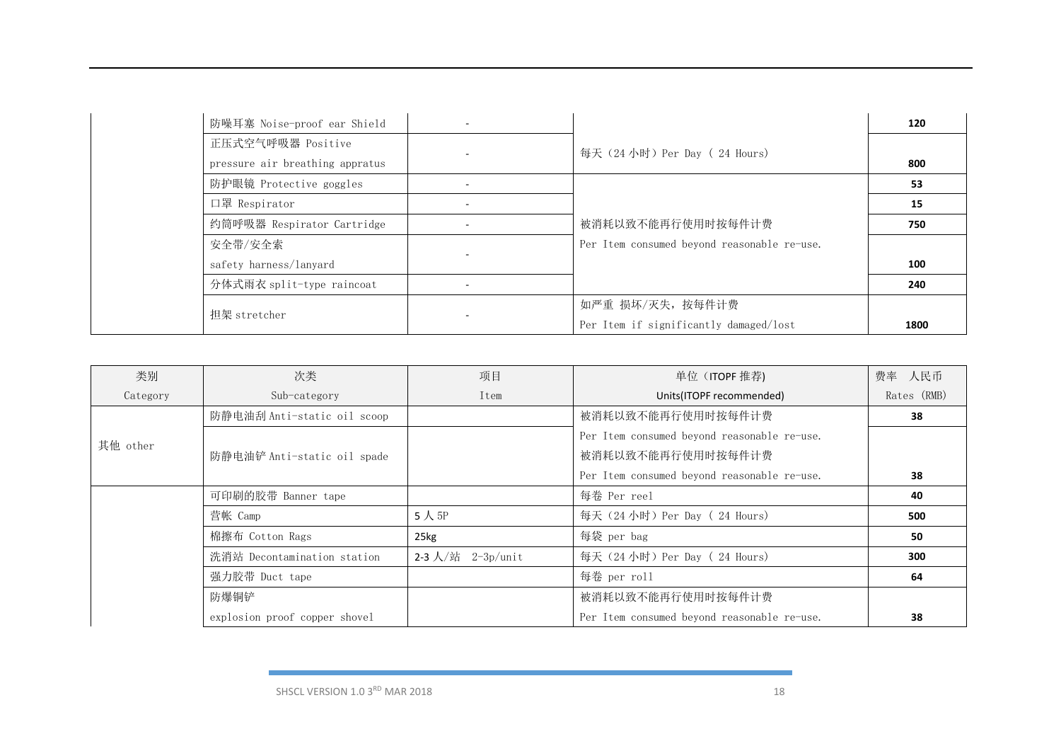| 防噪耳塞 Noise-proof ear Shield     |                                             | 120  |
|---------------------------------|---------------------------------------------|------|
| 正压式空气呼吸器 Positive               | 每天 (24 小时) Per Day (24 Hours)               |      |
| pressure air breathing appratus |                                             | 800  |
| 防护眼镜 Protective goggles         |                                             | 53   |
| 口罩 Respirator                   |                                             | 15   |
| 约筒呼吸器 Respirator Cartridge      | 被消耗以致不能再行使用时按每件计费                           | 750  |
| 安全带/安全索                         | Per Item consumed beyond reasonable re-use. |      |
| safety harness/lanyard          |                                             | 100  |
| 分体式雨衣 split-type raincoat       |                                             | 240  |
|                                 | 如严重 损坏/灭失, 按每件计费                            |      |
| 担架 stretcher                    | Per Item if significantly damaged/lost      | 1800 |

| 类别       | 次类                            | 项目                | 单位 (ITOPF 推荐)                               | 费率 人民币      |
|----------|-------------------------------|-------------------|---------------------------------------------|-------------|
| Category | Sub-category                  | Item              | Units(ITOPF recommended)                    | Rates (RMB) |
|          | 防静电油刮 Anti-static oil scoop   |                   | 被消耗以致不能再行使用时按每件计费                           | 38          |
| 其他 other |                               |                   | Per Item consumed beyond reasonable re-use. |             |
|          | 防静电油铲 Anti-static oil spade   |                   | 被消耗以致不能再行使用时按每件计费                           |             |
|          |                               |                   | Per Item consumed beyond reasonable re-use. | 38          |
|          | 可印刷的胶带 Banner tape            |                   | 每卷 Per reel                                 | 40          |
|          | 营帐 Camp                       | 5人 $5P$           | 每天 (24 小时) Per Day (24 Hours)               | 500         |
|          | 棉擦布 Cotton Rags               | 25kg              | 每袋 per bag                                  | 50          |
|          | 洗消站 Decontamination station   | 2-3 人/站 2-3p/unit | 每天 (24 小时) Per Day (24 Hours)               | 300         |
|          | 强力胶带 Duct tape                |                   | 每卷 per roll                                 | 64          |
|          | 防爆铜铲                          |                   | 被消耗以致不能再行使用时按每件计费                           |             |
|          | explosion proof copper shovel |                   | Per Item consumed beyond reasonable re-use. | 38          |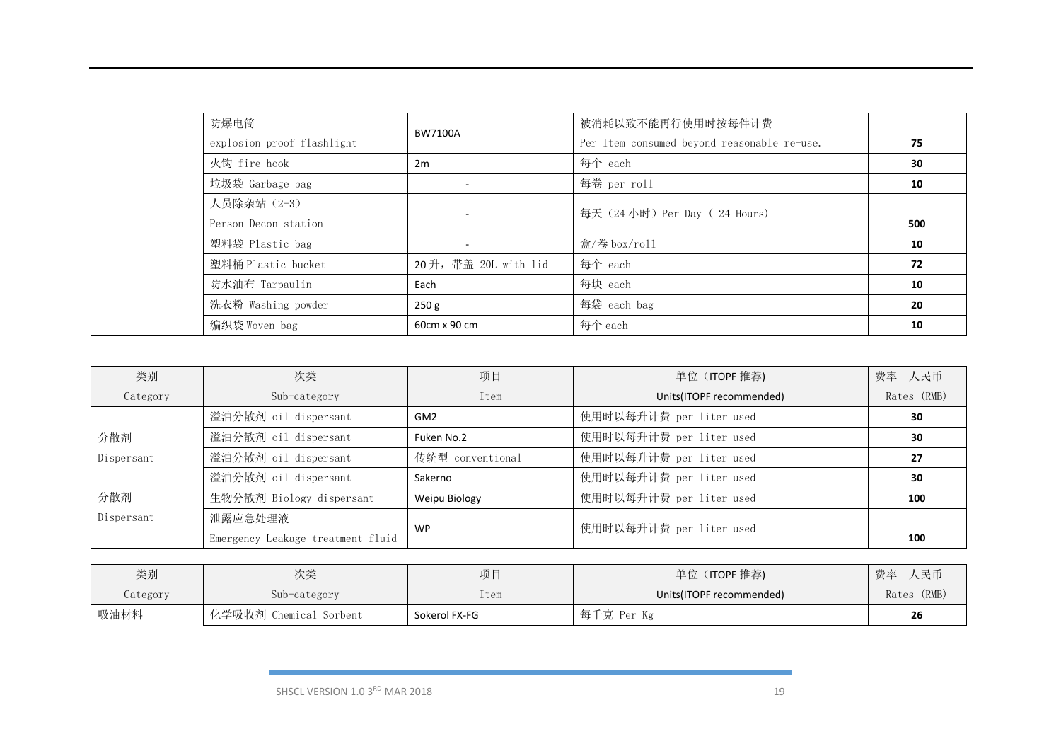| 防爆电筒                       | BW7100A              | 被消耗以致不能再行使用时按每件计费                           |     |
|----------------------------|----------------------|---------------------------------------------|-----|
| explosion proof flashlight |                      | Per Item consumed beyond reasonable re-use. | 75  |
| 火钩 fire hook               | 2m                   | 每个 each                                     | 30  |
| 垃圾袋 Garbage bag            |                      | 每卷 per roll                                 | 10  |
| 人员除杂站 (2-3)                |                      | 每天 (24 小时) Per Day (24 Hours)               |     |
| Person Decon station       |                      |                                             | 500 |
| 塑料袋 Plastic bag            |                      | 盒/卷 box/roll                                | 10  |
| 塑料桶 Plastic bucket         | 20升, 带盖 20L with lid | 每个 each                                     | 72  |
| 防水油布 Tarpaulin             | Each                 | 每块 each                                     | 10  |
| 洗衣粉 Washing powder         | 250 g                | 每袋 each bag                                 | 20  |
| 编织袋 Woven bag              | 60cm x 90 cm         | 每个 each                                     | 10  |

| 类别         | 次类                                | 项目               | 单位 (ITOPF 推荐)            | 费率 人民币      |
|------------|-----------------------------------|------------------|--------------------------|-------------|
| Category   | Sub-category                      | Item             | Units(ITOPF recommended) | Rates (RMB) |
|            | 溢油分散剂 oil dispersant              | GM <sub>2</sub>  | 使用时以每升计费 per liter used  | 30          |
| 分散剂        | 溢油分散剂 oil dispersant              | Fuken No.2       | 使用时以每升计费 per liter used  | 30          |
| Dispersant | 溢油分散剂 oil dispersant              | 传统型 conventional | 使用时以每升计费 per liter used  | 27          |
|            | 溢油分散剂 oil dispersant              | Sakerno          | 使用时以每升计费 per liter used  | 30          |
| 分散剂        | 生物分散剂 Biology dispersant          | Weipu Biology    | 使用时以每升计费 per liter used  | 100         |
| Dispersant | 泄露应急处理液                           |                  |                          |             |
|            | Emergency Leakage treatment fluid | <b>WP</b>        | 使用时以每升计费 per liter used  | 100         |

| 类别       | 次类                     | 项目            | 单位 (ITOPF 推荐)            | 人民币<br>费率   |
|----------|------------------------|---------------|--------------------------|-------------|
| Category | Sub-category           | tem           | Units(ITOPF recommended) | Rates (RMB) |
| 吸油材料     | 化学吸收剂 Chemical Sorbent | Sokerol FX-FG | 每千克 Per Kg               | 26          |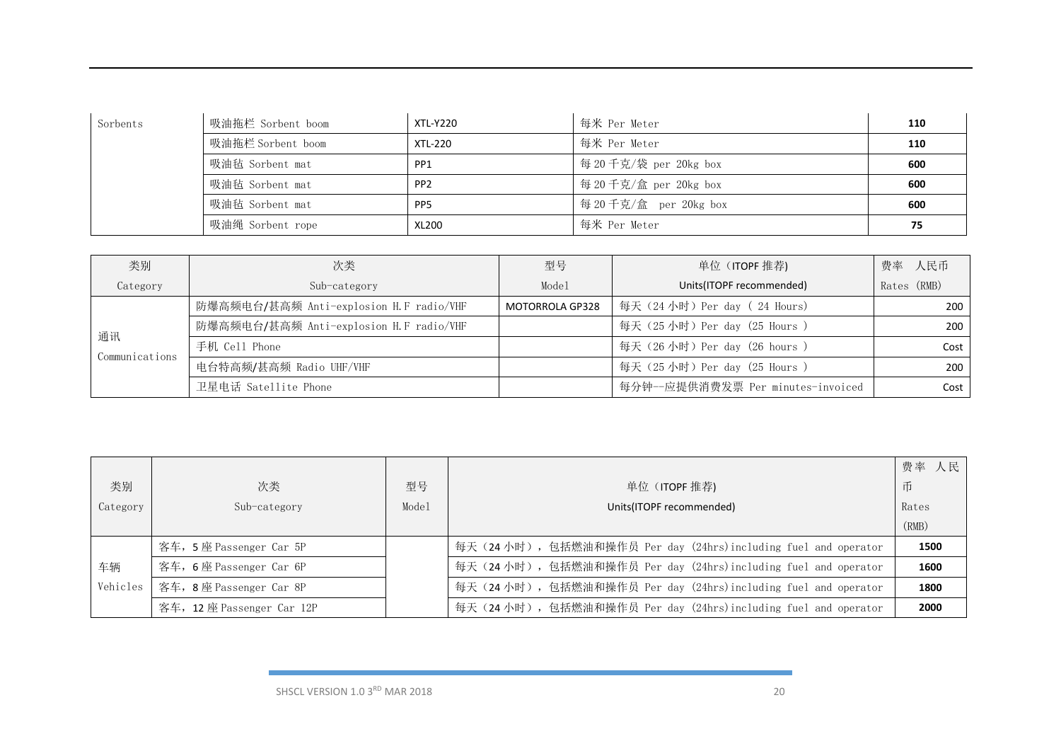| Sorbents | 吸油拖栏 Sorbent boom | XTL-Y220        | 每米 Per Meter           | 110 |
|----------|-------------------|-----------------|------------------------|-----|
|          | 吸油拖栏 Sorbent boom | XTL-220         | 每米 Per Meter           | 110 |
|          | 吸油毡 Sorbent mat   | PP <sub>1</sub> | 每 20 千克/袋 per 20kg box | 600 |
|          | 吸油毡 Sorbent mat   | PP <sub>2</sub> | 每 20 千克/盒 per 20kg box | 600 |
|          | 吸油毡 Sorbent mat   | PP <sub>5</sub> | 每 20 千克/盒 per 20kg box | 600 |
|          | 吸油绳 Sorbent rope  | XL200           | 每米 Per Meter           | 75  |

| 类别                   | 次类                                      | 型号                     | 单位 (ITOPF 推荐)                     | 费率 人民币      |
|----------------------|-----------------------------------------|------------------------|-----------------------------------|-------------|
| Category             | Sub-category                            | Model                  | Units(ITOPF recommended)          | Rates (RMB) |
|                      | 防爆高频电台/甚高频 Anti-explosion H.F radio/VHF | <b>MOTORROLA GP328</b> | 每天 (24小时) Per day (24 Hours)      | 200         |
| 通讯<br>Communications | 防爆高频电台/甚高频 Anti-explosion H.F radio/VHF |                        | 每天 (25小时) Per day (25 Hours)      | 200         |
|                      | 手机 Cell Phone                           |                        | 每天 (26小时) Per day (26 hours)      | Cost        |
|                      | 电台特高频/甚高频 Radio UHF/VHF                 |                        | 每天 (25小时) Per day (25 Hours)      | 200         |
|                      | 卫星电话 Satellite Phone                    |                        | 每分钟--应提供消费发票 Per minutes-invoiced | Cost        |

|          |                           |       |                                                                  | 费率<br>人民 |
|----------|---------------------------|-------|------------------------------------------------------------------|----------|
| 类别       | 次类                        | 型号    | 单位 (ITOPF 推荐)                                                    | 币        |
| Category | Sub-category              | Mode1 | Units(ITOPF recommended)                                         | Rates    |
|          |                           |       |                                                                  | (RMB)    |
|          | 客车, 5座 Passenger Car 5P   |       | 每天 (24 小时), 包括燃油和操作员 Per day (24hrs)including fuel and operator  | 1500     |
| 车辆       | 客车, 6座 Passenger Car 6P   |       | 每天 (24 小时), 包括燃油和操作员 Per day (24hrs) including fuel and operator | 1600     |
| Vehicles | 客车, 8座 Passenger Car 8P   |       | 每天 (24 小时), 包括燃油和操作员 Per day (24hrs) including fuel and operator | 1800     |
|          | 客车, 12座 Passenger Car 12P |       | 每天 (24 小时), 包括燃油和操作员 Per day (24hrs) including fuel and operator | 2000     |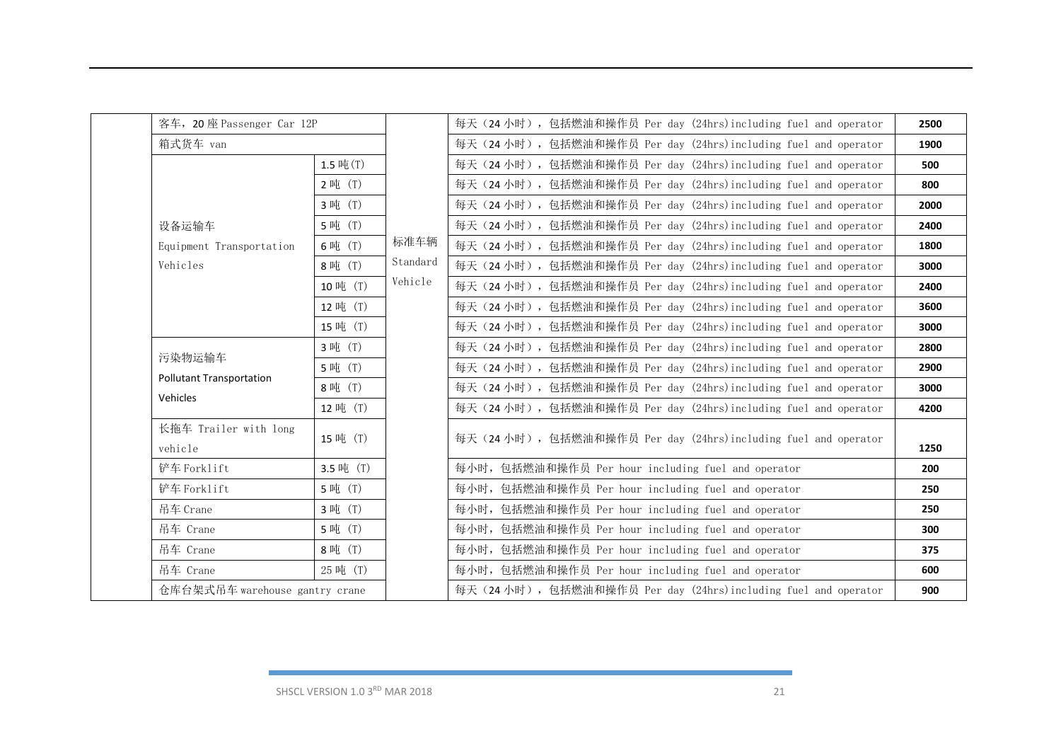| 客车, 20座 Passenger Car 12P                    |          | 每天 (24 小时), 包括燃油和操作员 Per day (24hrs) including fuel and operator | 2500 |
|----------------------------------------------|----------|------------------------------------------------------------------|------|
| 箱式货车 van                                     |          | 每天 (24 小时), 包括燃油和操作员 Per day (24hrs)including fuel and operator  | 1900 |
| $1.5 \mathop{\mathsf{H}}\nolimits(T)$        |          | 每天 (24 小时), 包括燃油和操作员 Per day (24hrs) including fuel and operator | 500  |
| 2 吨 (T)                                      |          | 每天 (24 小时), 包括燃油和操作员 Per day (24hrs) including fuel and operator | 800  |
| 3 吨 (T)                                      |          | 每天 (24 小时), 包括燃油和操作员 Per day (24hrs) including fuel and operator | 2000 |
| 5 吨 (T)<br>设备运输车                             |          | 每天 (24 小时), 包括燃油和操作员 Per day (24hrs) including fuel and operator | 2400 |
| 6吨 (T)<br>Equipment Transportation           | 标准车辆     | 每天 (24 小时), 包括燃油和操作员 Per day (24hrs)including fuel and operator  | 1800 |
| 8吨 (T)<br>Vehicles                           | Standard | 每天 (24小时), 包括燃油和操作员 Per day (24hrs)including fuel and operator   | 3000 |
| 10吨 (T)                                      | Vehicle  | 每天 (24 小时), 包括燃油和操作员 Per day (24hrs)including fuel and operator  | 2400 |
| 12 吨 (T)                                     |          | 每天 (24小时), 包括燃油和操作员 Per day (24hrs)including fuel and operator   | 3600 |
| 15 吨 (T)                                     |          | 每天 (24 小时), 包括燃油和操作员 Per day (24hrs)including fuel and operator  | 3000 |
| 3 吨 (T)                                      |          | 每天 (24 小时), 包括燃油和操作员 Per day (24hrs) including fuel and operator | 2800 |
| 污染物运输车<br>5 吨 (T)                            |          | 每天 (24 小时), 包括燃油和操作员 Per day (24hrs) including fuel and operator | 2900 |
| <b>Pollutant Transportation</b><br>8吨 (T)    |          | 每天 (24 小时), 包括燃油和操作员 Per day (24hrs) including fuel and operator | 3000 |
| Vehicles<br>12 吨 (T)                         |          | 每天 (24 小时), 包括燃油和操作员 Per day (24hrs)including fuel and operator  | 4200 |
| 长拖车 Trailer with long<br>15 吨 (T)<br>vehicle |          | 每天 (24 小时), 包括燃油和操作员 Per day (24hrs) including fuel and operator | 1250 |
| 铲车 Forklift<br>3.5 吨 (T)                     |          | 每小时, 包括燃油和操作员 Per hour including fuel and operator               | 200  |
| 5 吨 (T)<br>铲车 Forklift                       |          | 每小时, 包括燃油和操作员 Per hour including fuel and operator               | 250  |
| 3 吨 (T)<br>吊车 Crane                          |          | 每小时, 包括燃油和操作员 Per hour including fuel and operator               | 250  |
| 吊车 Crane<br>5 吨 (T)                          |          | 每小时, 包括燃油和操作员 Per hour including fuel and operator               | 300  |
| 8吨 (T)<br>吊车 Crane                           |          | 每小时, 包括燃油和操作员 Per hour including fuel and operator               | 375  |
| 25 吨 (T)<br>吊车 Crane                         |          | 每小时, 包括燃油和操作员 Per hour including fuel and operator               | 600  |
| 仓库台架式吊车 warehouse gantry crane               |          | 每天 (24 小时), 包括燃油和操作员 Per day (24hrs) including fuel and operator | 900  |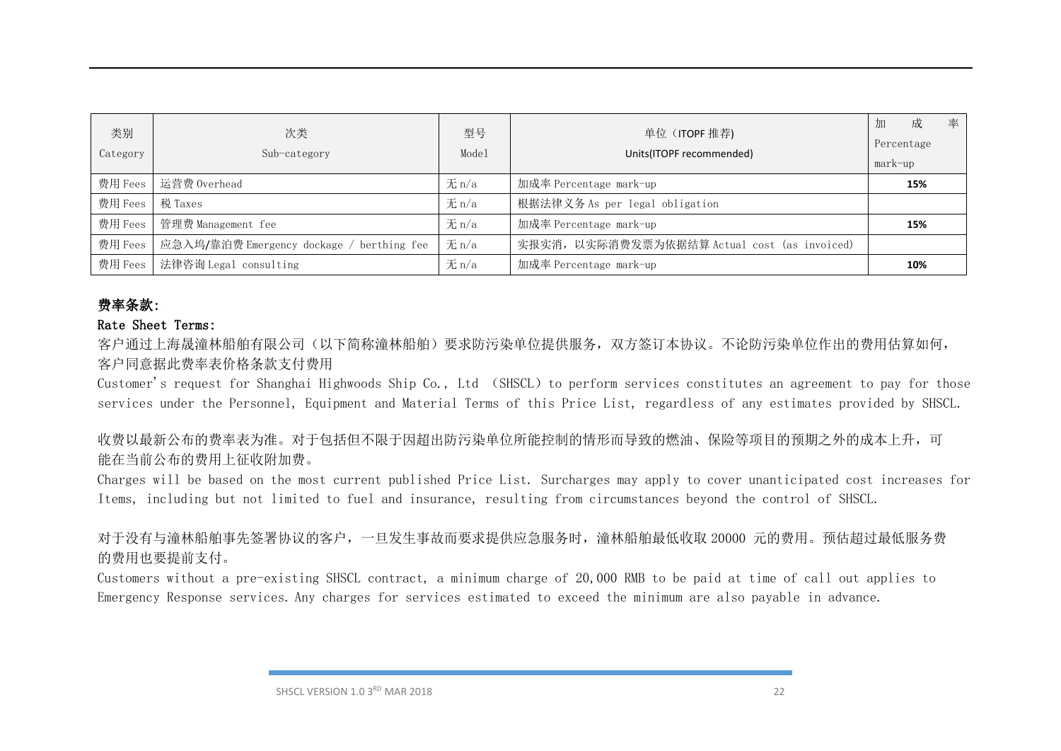| 类别<br>Category    | 次类<br>Sub-category                        | 型号<br>Model | 单位 (ITOPF 推荐)<br>Units(ITOPF recommended)    | 率<br>成<br>加<br>Percentage<br>mark-up |
|-------------------|-------------------------------------------|-------------|----------------------------------------------|--------------------------------------|
|                   | 费用 Fees   运营费 Overhead                    | $\pm$ n/a   | 加成率 Percentage mark-up                       | 15%                                  |
| 费用 Fees   税 Taxes |                                           | $\pm$ n/a   | 根据法律义务 As per legal obligation               |                                      |
| 费用 Fees           | 管理费 Management fee                        | $\n  π/a\n$ | 加成率 Percentage mark-up                       | 15%                                  |
| 费用 Fees           | 应急入坞/靠泊费 Emergency dockage / berthing fee | $\n  π/a\n$ | 实报实消, 以实际消费发票为依据结算 Actual cost (as invoiced) |                                      |
| 费用 Fees           | 法律咨询 Legal consulting                     | $\pm$ n/a   | 加成率 Percentage mark-up                       | 10%                                  |

## 费率条款:

### Rate Sheet Terms:

客户通过上海晟潼林船舶有限公司(以下简称潼林船舶)要求防污染单位提供服务,双方签订本协议。不论防污染单位作出的费用估算如何, 客户同意据此费率表价格条款支付费用

Customer's request for Shanghai Highwoods Ship Co., Ltd (SHSCL) to perform services constitutes an agreement to pay for those services under the Personnel, Equipment and Material Terms of this Price List, regardless of any estimates provided by SHSCL.

收费以最新公布的费率表为准。对于包括但不限于因超出防污染单位所能控制的情形而导致的燃油、保险等项目的预期之外的成本上升,可 能在当前公布的费用上征收附加费。

Charges will be based on the most current published Price List. Surcharges may apply to cover unanticipated cost increases for Items, including but not limited to fuel and insurance, resulting from circumstances beyond the control of SHSCL.

对于没有与潼林船舶事先签署协议的客户,一旦发生事故而要求提供应急服务时,潼林船舶最低收取 20000 元的费用。预估超过最低服务费 的费用也要提前支付。

Customers without a pre-existing SHSCL contract, a minimum charge of 20,000 RMB to be paid at time of call out applies to Emergency Response services. Any charges for services estimated to exceed the minimum are also payable in advance.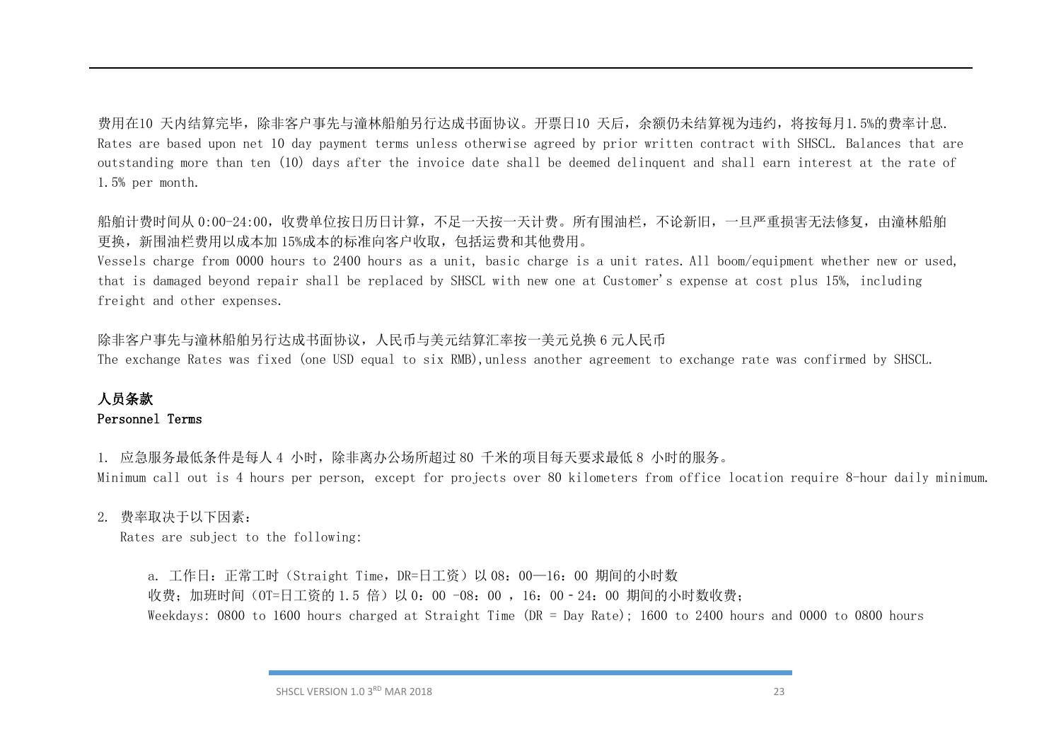费用在10 天内结算完毕,除非客户事先与潼林船舶另行达成书面协议。开票日10 天后,余额仍未结算视为违约,将按每月1.5%的费率计息. Rates are based upon net 10 day payment terms unless otherwise agreed by prior written contract with SHSCL. Balances that are outstanding more than ten (10) days after the invoice date shall be deemed delinquent and shall earn interest at the rate of 1.5% per month.

船舶计费时间从 0:00-24:00, 收费单位按日历日计算, 不足一天按一天计费。所有围油栏, 不论新旧, 一旦严重损害无法修复, 由潼林船舶 更换,新围油栏费用以成本加 15%成本的标准向客户收取,包括运费和其他费用。

Vessels charge from 0000 hours to 2400 hours as a unit, basic charge is a unit rates. All boom/equipment whether new or used, that is damaged beyond repair shall be replaced by SHSCL with new one at Customer's expense at cost plus 15%, including freight and other expenses.

除非客户事先与潼林船舶另行达成书面协议,人民币与美元结算汇率按一美元兑换 6 元人民币

The exchange Rates was fixed (one USD equal to six RMB),unless another agreement to exchange rate was confirmed by SHSCL.

## 人员条款 Personnel Terms

1. 应急服务最低条件是每人 4 小时,除非离办公场所超过 80 千米的项目每天要求最低 8 小时的服务。 Minimum call out is 4 hours per person, except for projects over 80 kilometers from office location require 8-hour daily minimum.

#### 2. 费率取决于以下因素:

Rates are subject to the following:

a. 工作日: 正常工时 (Straight Time, DR=日工资) 以 08: 00-16: 00 期间的小时数 收费: 加班时间 (OT=日工资的 1.5 倍) 以 0: 00 -08: 00 , 16: 00 - 24: 00 期间的小时数收费; Weekdays: 0800 to 1600 hours charged at Straight Time (DR = Day Rate); 1600 to 2400 hours and 0000 to 0800 hours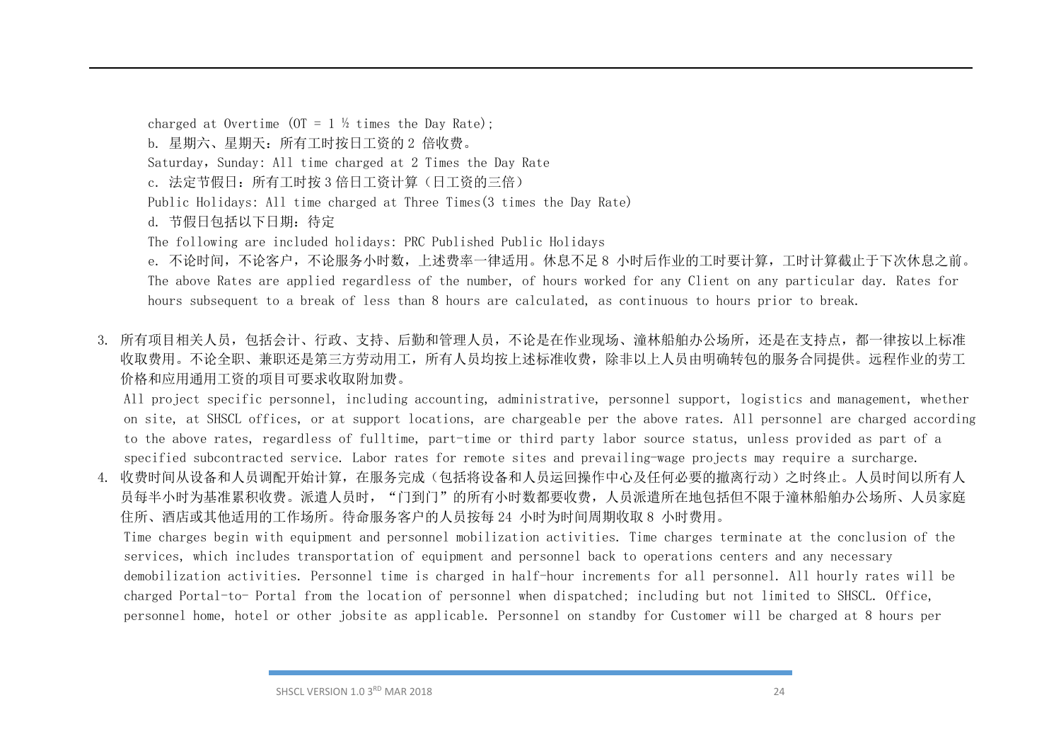charged at Overtime (OT =  $1\frac{1}{2}$  times the Day Rate); b. 星期六、星期天:所有工时按日工资的 2 倍收费。 Saturday, Sunday: All time charged at 2 Times the Day Rate c. 法定节假日: 所有工时按 3 倍日工资计算(日工资的三倍) Public Holidays: All time charged at Three Times(3 times the Day Rate) d. 节假日包括以下日期:待定 The following are included holidays: PRC Published Public Holidays e. 不论时间,不论客户,不论服务小时数,上述费率一律适用。休息不足 8 小时后作业的工时要计算,工时计算截止于下次休息之前。 The above Rates are applied regardless of the number, of hours worked for any Client on any particular day. Rates for hours subsequent to a break of less than 8 hours are calculated, as continuous to hours prior to break.

3. 所有项目相关人员,包括会计、行政、支持、后勤和管理人员,不论是在作业现场、潼林船舶办公场所,还是在支持点,都一律按以上标准 收取费用。不论全职、兼职还是第三方劳动用工,所有人员均按上述标准收费,除非以上人员由明确转包的服务合同提供。远程作业的劳工 价格和应用通用工资的项目可要求收取附加费。

All project specific personnel, including accounting, administrative, personnel support, logistics and management, whether on site, at SHSCL offices, or at support locations, are chargeable per the above rates. All personnel are charged according to the above rates, regardless of fulltime, part-time or third party labor source status, unless provided as part of a specified subcontracted service. Labor rates for remote sites and prevailing-wage projects may require a surcharge.

4. 收费时间从设备和人员调配开始计算,在服务完成(包括将设备和人员运回操作中心及任何必要的撤离行动)之时终止。人员时间以所有人 员每半小时为基准累积收费。派遣人员时, "门到门"的所有小时数都要收费, 人员派遣所在地包括但不限于潼林船舶办公场所、人员家庭 住所、酒店或其他适用的工作场所。待命服务客户的人员按每 24 小时为时间周期收取 8 小时费用。

Time charges begin with equipment and personnel mobilization activities. Time charges terminate at the conclusion of the services, which includes transportation of equipment and personnel back to operations centers and any necessary demobilization activities. Personnel time is charged in half-hour increments for all personnel. All hourly rates will be charged Portal-to- Portal from the location of personnel when dispatched; including but not limited to SHSCL. Office, personnel home, hotel or other jobsite as applicable. Personnel on standby for Customer will be charged at 8 hours per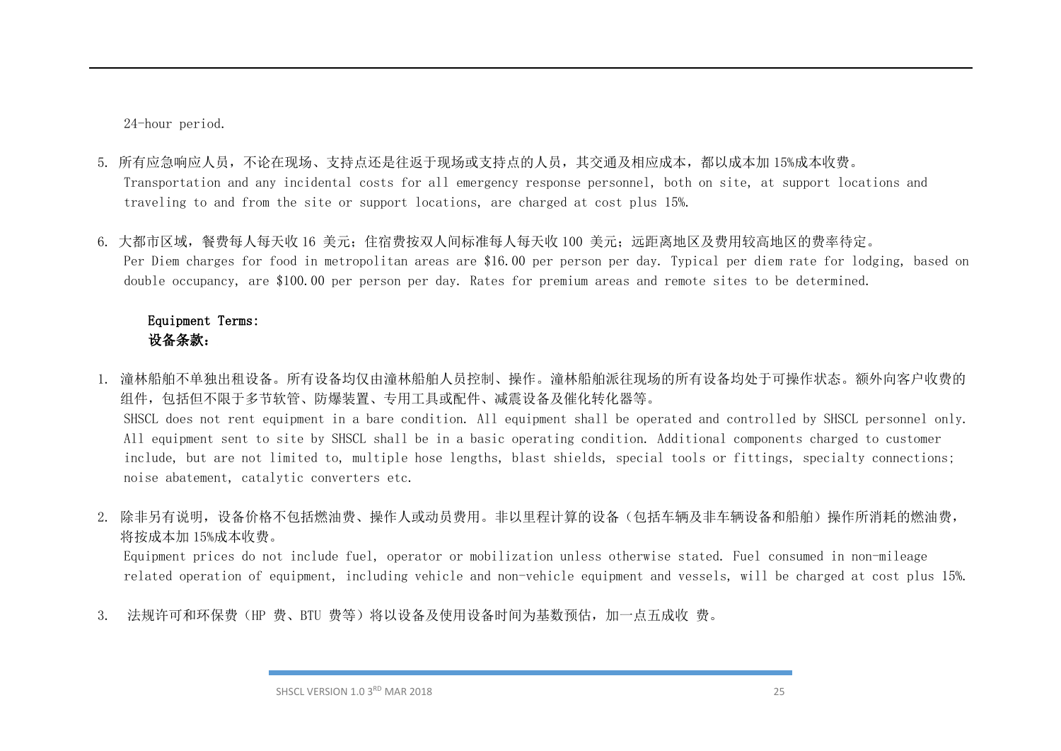24-hour period.

- 5. 所有应急响应人员,不论在现场、支持点还是往返于现场或支持点的人员,其交通及相应成本,都以成本加 15%成本收费。 Transportation and any incidental costs for all emergency response personnel, both on site, at support locations and traveling to and from the site or support locations, are charged at cost plus 15%.
- 6. 大都市区域, 餐费每人每天收 16 美元; 住宿费按双人间标准每人每天收 100 美元; 远距离地区及费用较高地区的费率待定。 Per Diem charges for food in metropolitan areas are \$16.00 per person per day. Typical per diem rate for lodging, based on double occupancy, are \$100.00 per person per day. Rates for premium areas and remote sites to be determined.

### Equipment Terms: 设备条款:

- 1. 潼林船舶不单独出租设备。所有设备均仅由潼林船舶人员控制、操作。潼林船舶派往现场的所有设备均处于可操作状态。额外向客户收费的 组件,包括但不限于多节软管、防爆装置、专用工具或配件、减震设备及催化转化器等。 SHSCL does not rent equipment in a bare condition. All equipment shall be operated and controlled by SHSCL personnel only. All equipment sent to site by SHSCL shall be in a basic operating condition. Additional components charged to customer include, but are not limited to, multiple hose lengths, blast shields, special tools or fittings, specialty connections; noise abatement, catalytic converters etc.
- 2. 除非另有说明,设备价格不包括燃油费、操作人或动员费用。非以里程计算的设备(包括车辆及非车辆设备和船舶)操作所消耗的燃油费, 将按成本加 15%成本收费。

Equipment prices do not include fuel, operator or mobilization unless otherwise stated. Fuel consumed in non-mileage related operation of equipment, including vehicle and non-vehicle equipment and vessels, will be charged at cost plus 15%.

3. 法规许可和环保费(HP 费、BTU 费等)将以设备及使用设备时间为基数预估,加一点五成收 费。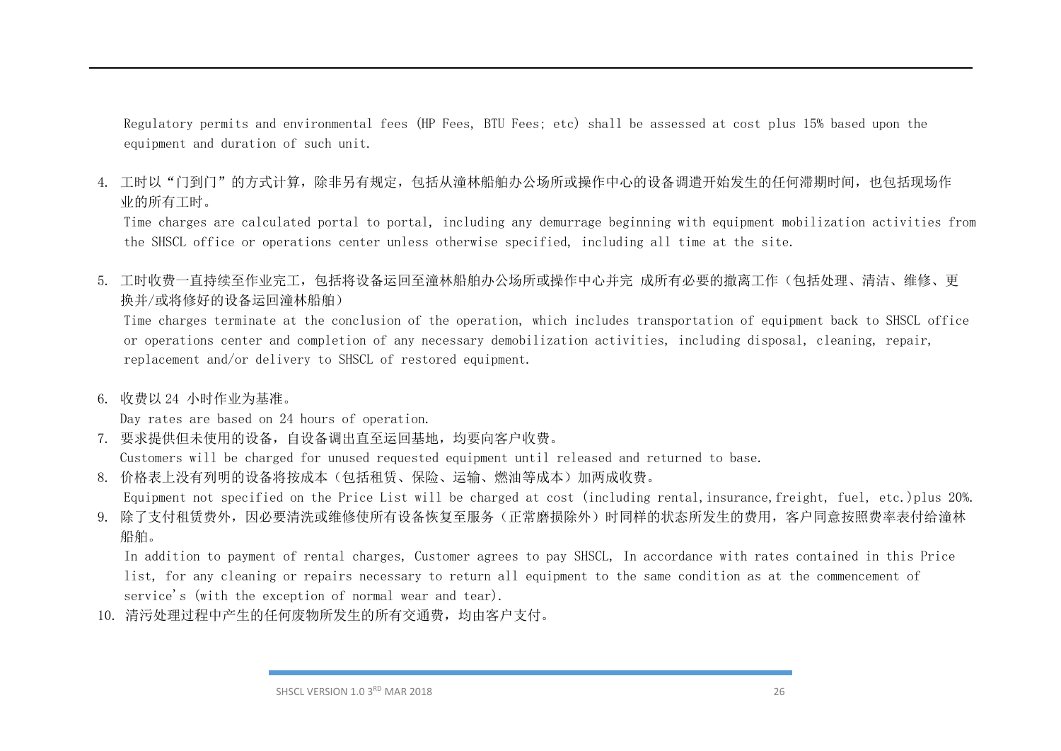Regulatory permits and environmental fees (HP Fees, BTU Fees; etc) shall be assessed at cost plus 15% based upon the equipment and duration of such unit.

4. 工时以"门到门"的方式计算,除非另有规定,包括从潼林船舶办公场所或操作中心的设备调遣开始发生的任何滞期时间,也包括现场作 业的所有工时。

Time charges are calculated portal to portal, including any demurrage beginning with equipment mobilization activities from the SHSCL office or operations center unless otherwise specified, including all time at the site.

5. 工时收费一直持续至作业完工,包括将设备运回至潼林船舶办公场所或操作中心并完 成所有必要的撤离工作(包括处理、清洁、维修、更 换并/或将修好的设备运回潼林船舶)

Time charges terminate at the conclusion of the operation, which includes transportation of equipment back to SHSCL office or operations center and completion of any necessary demobilization activities, including disposal, cleaning, repair, replacement and/or delivery to SHSCL of restored equipment.

6. 收费以 24 小时作业为基准。

Day rates are based on 24 hours of operation.

7. 要求提供但未使用的设备,自设备调出直至运回基地,均要向客户收费。

Customers will be charged for unused requested equipment until released and returned to base.

8. 价格表上没有列明的设备将按成本(包括租赁、保险、运输、燃油等成本)加两成收费。

Equipment not specified on the Price List will be charged at cost (including rental,insurance,freight, fuel, etc.)plus 20%. 9. 除了支付租赁费外,因必要清洗或维修使所有设备恢复至服务(正常磨损除外)时同样的状态所发生的费用,客户同意按照费率表付给潼林

船舶。

In addition to payment of rental charges, Customer agrees to pay SHSCL, In accordance with rates contained in this Price list, for any cleaning or repairs necessary to return all equipment to the same condition as at the commencement of service's (with the exception of normal wear and tear).

10. 清污处理过程中产生的任何废物所发生的所有交通费,均由客户支付。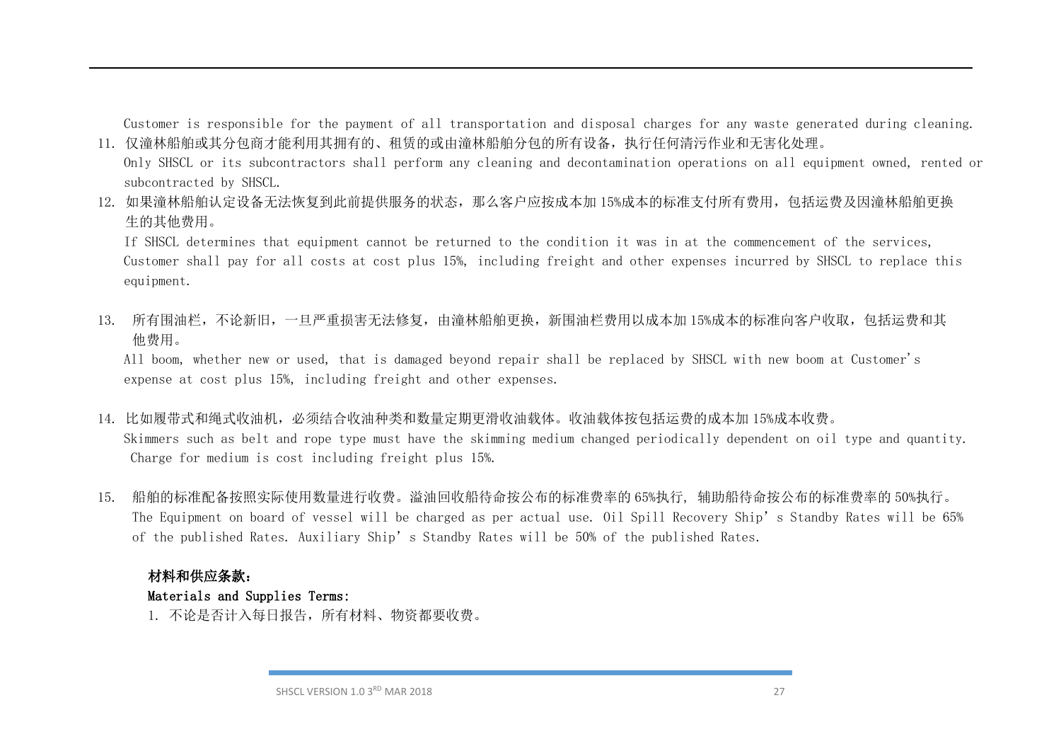Customer is responsible for the payment of all transportation and disposal charges for any waste generated during cleaning. 11. 仅潼林船舶或其分包商才能利用其拥有的、租赁的或由潼林船舶分包的所有设备,执行任何清污作业和无害化处理。

- Only SHSCL or its subcontractors shall perform any cleaning and decontamination operations on all equipment owned, rented or subcontracted by SHSCL.
- 12. 如果潼林船舶认定设备无法恢复到此前提供服务的状态,那么客户应按成本加 15%成本的标准支付所有费用,包括运费及因潼林船舶更换 生的其他费用。

If SHSCL determines that equipment cannot be returned to the condition it was in at the commencement of the services, Customer shall pay for all costs at cost plus 15%, including freight and other expenses incurred by SHSCL to replace this equipment.

13. 所有围油栏,不论新旧,一旦严重损害无法修复,由潼林船舶更换,新围油栏费用以成本加 15%成本的标准向客户收取,包括运费和其 他费用。

All boom, whether new or used, that is damaged beyond repair shall be replaced by SHSCL with new boom at Customer's expense at cost plus 15%, including freight and other expenses.

- 14. 比如履带式和绳式收油机,必须结合收油种类和数量定期更滑收油载体。收油载体按包括运费的成本加 15%成本收费。 Skimmers such as belt and rope type must have the skimming medium changed periodically dependent on oil type and quantity. Charge for medium is cost including freight plus 15%.
- 15. 船舶的标准配备按照实际使用数量进行收费。溢油回收船待命按公布的标准费率的 65%执行, 辅助船待命按公布的标准费率的 50%执行。 The Equipment on board of vessel will be charged as per actual use. Oil Spill Recovery Ship's Standby Rates will be 65% of the published Rates. Auxiliary Ship's Standby Rates will be 50% of the published Rates.

#### 材料和供应条款:

#### Materials and Supplies Terms:

1. 不论是否计入每日报告,所有材料、物资都要收费。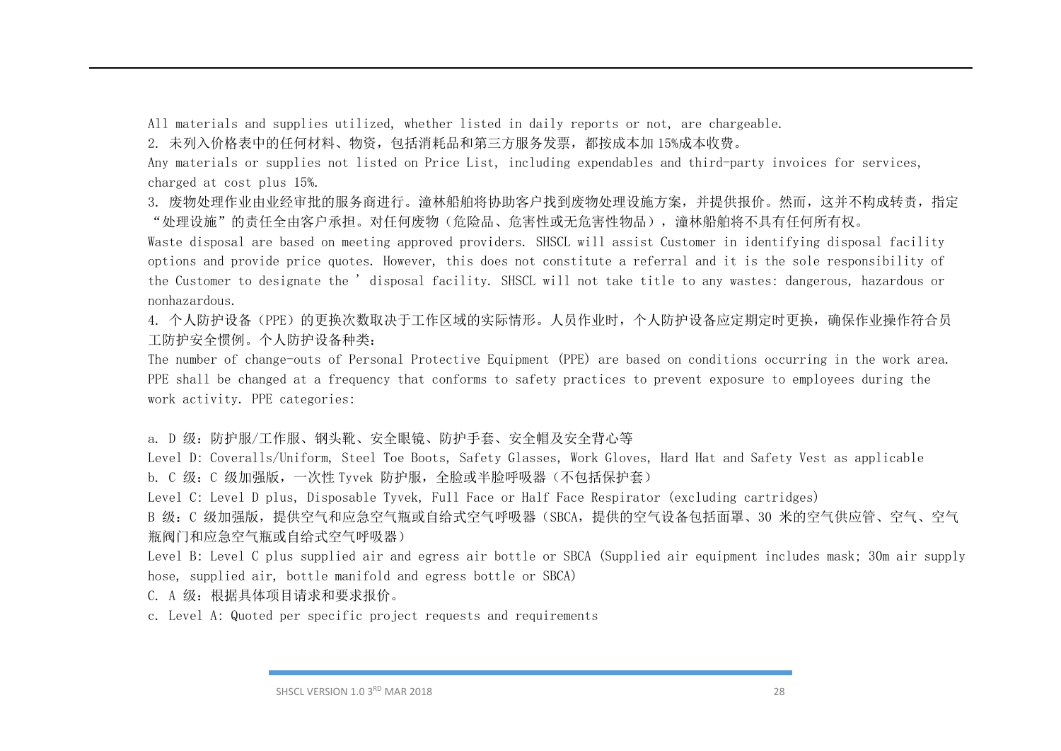All materials and supplies utilized, whether listed in daily reports or not, are chargeable.

2. 未列入价格表中的任何材料、物资,包括消耗品和第三方服务发票,都按成本加 15%成本收费。

Any materials or supplies not listed on Price List, including expendables and third-party invoices for services, charged at cost plus 15%.

3. 废物处理作业由业经审批的服务商进行。潼林船舶将协助客户找到废物处理设施方案,并提供报价。然而,这并不构成转责,指定 "处理设施"的责任全由客户承担。对任何废物(危险品、危害性或无危害性物品),潼林船舶将不具有任何所有权。

Waste disposal are based on meeting approved providers. SHSCL will assist Customer in identifying disposal facility options and provide price quotes. However, this does not constitute a referral and it is the sole responsibility of the Customer to designate the ' disposal facility. SHSCL will not take title to any wastes: dangerous, hazardous or nonhazardous.

4. 个人防护设备(PPE)的更换次数取决于工作区域的实际情形。人员作业时,个人防护设备应定期定时更换,确保作业操作符合员 工防护安全惯例。个人防护设备种类:

The number of change-outs of Personal Protective Equipment (PPE) are based on conditions occurring in the work area. PPE shall be changed at a frequency that conforms to safety practices to prevent exposure to employees during the work activity. PPE categories:

a. D 级: 防护服/工作服、钢头靴、安全眼镜、防护手套、安全帽及安全背心等

Level D: Coveralls/Uniform, Steel Toe Boots, Safety Glasses, Work Gloves, Hard Hat and Safety Vest as applicable b. C 级:C 级加强版,一次性 Tyvek 防护服,全脸或半脸呼吸器(不包括保护套)

Level C: Level D plus, Disposable Tyvek, Full Face or Half Face Respirator (excluding cartridges)

B 级: C 级加强版, 提供空气和应急空气瓶或自给式空气呼吸器(SBCA, 提供的空气设备包括面罩、30 米的空气供应管、空气、空气 瓶阀门和应急空气瓶或自给式空气呼吸器)

Level B: Level C plus supplied air and egress air bottle or SBCA (Supplied air equipment includes mask; 30m air supply hose, supplied air, bottle manifold and egress bottle or SBCA)

C. A 级:根据具体项目请求和要求报价。

c. Level A: Quoted per specific project requests and requirements